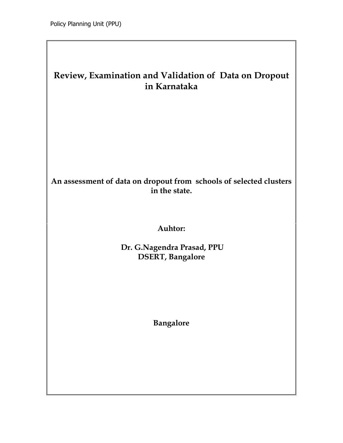# Review, Examination and Validation of Data on Dropout in Karnataka

## An assessment of data on dropout from schools of selected clusters in the state.

## Auhtor:

 Dr. G.Nagendra Prasad, PPU DSERT, Bangalore

Bangalore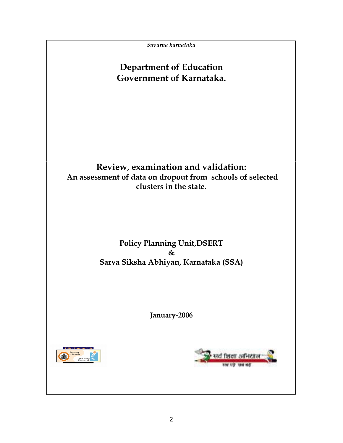Suvarna karnataka

# Department of Education Government of Karnataka.

# Review, examination and validation: An assessment of data on dropout from schools of selected clusters in the state.

## Policy Planning Unit,DSERT & Sarva Siksha Abhiyan, Karnataka (SSA)

January-2006



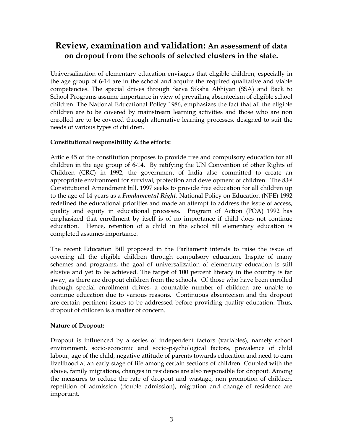# Review, examination and validation: An assessment of data on dropout from the schools of selected clusters in the state.

Universalization of elementary education envisages that eligible children, especially in the age group of 6-14 are in the school and acquire the required qualitative and viable competencies. The special drives through Sarva Siksha Abhiyan (SSA) and Back to School Programs assume importance in view of prevailing absenteeism of eligible school children. The National Educational Policy 1986, emphasizes the fact that all the eligible children are to be covered by mainstream learning activities and those who are non enrolled are to be covered through alternative learning processes, designed to suit the needs of various types of children.

## Constitutional responsibility & the efforts:

Article 45 of the constitution proposes to provide free and compulsory education for all children in the age group of 6-14. By ratifying the UN Convention of other Rights of Children (CRC) in 1992, the government of India also committed to create an appropriate environment for survival, protection and development of children. The 83rd Constitutional Amendment bill, 1997 seeks to provide free education for all children up to the age of 14 years as a *Fundamental Right*. National Policy on Education (NPE) 1992 redefined the educational priorities and made an attempt to address the issue of access, quality and equity in educational processes. Program of Action (POA) 1992 has emphasized that enrollment by itself is of no importance if child does not continue education. Hence, retention of a child in the school till elementary education is completed assumes importance.

The recent Education Bill proposed in the Parliament intends to raise the issue of covering all the eligible children through compulsory education. Inspite of many schemes and programs, the goal of universalization of elementary education is still elusive and yet to be achieved. The target of 100 percent literacy in the country is far away, as there are dropout children from the schools. Of those who have been enrolled through special enrollment drives, a countable number of children are unable to continue education due to various reasons. Continuous absenteeism and the dropout are certain pertinent issues to be addressed before providing quality education. Thus, dropout of children is a matter of concern.

## Nature of Dropout:

Dropout is influenced by a series of independent factors (variables), namely school environment, socio-economic and socio-psychological factors, prevalence of child labour, age of the child, negative attitude of parents towards education and need to earn livelihood at an early stage of life among certain sections of children. Coupled with the above, family migrations, changes in residence are also responsible for dropout. Among the measures to reduce the rate of dropout and wastage, non promotion of children, repetition of admission (double admission), migration and change of residence are important.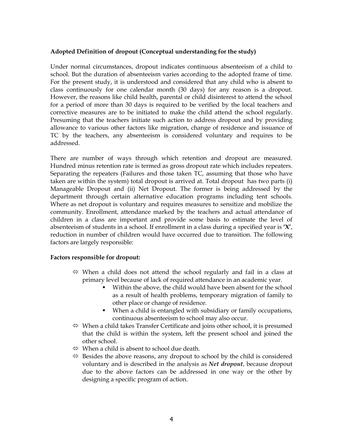#### Adopted Definition of dropout (Conceptual understanding for the study)

Under normal circumstances, dropout indicates continuous absenteeism of a child to school. But the duration of absenteeism varies according to the adopted frame of time. For the present study, it is understood and considered that any child who is absent to class continuously for one calendar month (30 days) for any reason is a dropout. However, the reasons like child health, parental or child disinterest to attend the school for a period of more than 30 days is required to be verified by the local teachers and corrective measures are to be initiated to make the child attend the school regularly. Presuming that the teachers initiate such action to address dropout and by providing allowance to various other factors like migration, change of residence and issuance of TC by the teachers, any absenteeism is considered voluntary and requires to be addressed.

There are number of ways through which retention and dropout are measured. Hundred minus retention rate is termed as gross dropout rate which includes repeaters. Separating the repeaters (Failures and those taken TC, assuming that those who have taken are within the system) total dropout is arrived at. Total dropout has two parts (i) Manageable Dropout and (ii) Net Dropout. The former is being addressed by the department through certain alternative education programs including tent schools. Where as net dropout is voluntary and requires measures to sensitize and mobilize the community. Enrollment, attendance marked by the teachers and actual attendance of children in a class are important and provide some basis to estimate the level of absenteeism of students in a school. If enrollment in a class during a specified year is 'X', reduction in number of children would have occurred due to transition. The following factors are largely responsible:

#### Factors responsible for dropout:

- $\Leftrightarrow$  When a child does not attend the school regularly and fail in a class at primary level because of lack of required attendance in an academic year.
	- Within the above, the child would have been absent for the school as a result of health problems, temporary migration of family to other place or change of residence.
	- When a child is entangled with subsidiary or family occupations, continuous absenteeism to school may also occur.
- $\Leftrightarrow$  When a child takes Transfer Certificate and joins other school, it is presumed that the child is within the system, left the present school and joined the other school.
- $\Leftrightarrow$  When a child is absent to school due death.
- $\Leftrightarrow$  Besides the above reasons, any dropout to school by the child is considered voluntary and is described in the analysis as *Net dropout*, because dropout due to the above factors can be addressed in one way or the other by designing a specific program of action.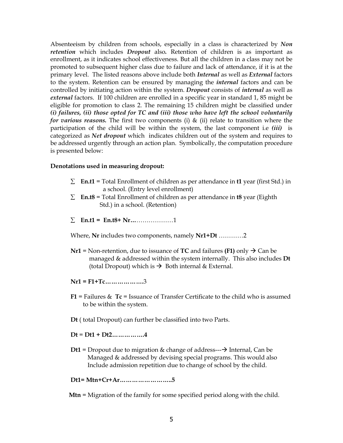Absenteeism by children from schools, especially in a class is characterized by Non retention which includes *Dropout* also. Retention of children is as important as enrollment, as it indicates school effectiveness. But all the children in a class may not be promoted to subsequent higher class due to failure and lack of attendance, if it is at the primary level. The listed reasons above include both *Internal* as well as *External* factors to the system. Retention can be ensured by managing the *internal* factors and can be controlled by initiating action within the system. Dropout consists of *internal* as well as external factors. If 100 children are enrolled in a specific year in standard 1, 85 might be eligible for promotion to class 2. The remaining 15 children might be classified under (i) failures, (ii) those opted for TC and (iii) those who have left the school voluntarily for various reasons. The first two components (i)  $\&$  (ii) relate to transition where the participation of the child will be within the system, the last component i.e  $(iii)$  is categorized as Net dropout which indicates children out of the system and requires to be addressed urgently through an action plan. Symbolically, the computation procedure is presented below:

#### Denotations used in measuring dropout:

- $\Sigma$  En.t1 = Total Enrollment of children as per attendance in t1 year (first Std.) in a school. (Entry level enrollment)
- $\Sigma$  En.t8 = Total Enrollment of children as per attendance in t8 year (Eighth Std.) in a school. (Retention)
- ∑ En.t1 = En.t8+ Nr…………………1

Where, Nr includes two components, namely Nr1+Dt ............2

**Nr1** = Non-retention, due to issuance of TC and failures (F1) only  $\rightarrow$  Can be managed & addressed within the system internally. This also includes Dt (total Dropout) which is  $\rightarrow$  Both internal & External.

 $Nr1 = F1 + Tc$ ...................3

- $F1$  = Failures &  $Tc$  = Issuance of Transfer Certificate to the child who is assumed to be within the system.
- Dt ( total Dropout) can further be classified into two Parts.

Dt = Dt1 + Dt2…………….4

**Dt1** = Dropout due to migration & change of address-- $\rightarrow$  Internal, Can be Managed & addressed by devising special programs. This would also Include admission repetition due to change of school by the child.

Dt1= Mtn+Cr+Ar……………………..5

Mtn = Migration of the family for some specified period along with the child.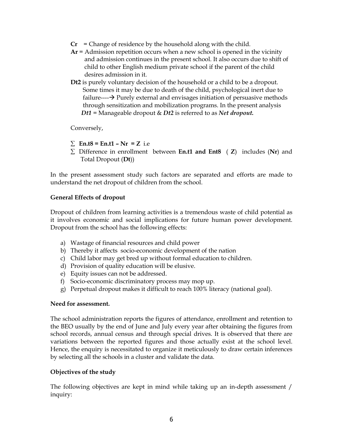- $Cr =$  Change of residence by the household along with the child.
- $Ar =$  Admission repetition occurs when a new school is opened in the vicinity and admission continues in the present school. It also occurs due to shift of child to other English medium private school if the parent of the child desires admission in it.
- Dt2 is purely voluntary decision of the household or a child to be a dropout. Some times it may be due to death of the child, psychological inert due to failure--- $\rightarrow$  Purely external and envisages initiation of persuasive methods through sensitization and mobilization programs. In the present analysis Dt1 = Manageable dropout  $&$  Dt2 is referred to as Net dropout.

Conversely,

- $\Sigma$  En.t8 = En.t1 Nr = Z i.e
- $\Sigma$  Difference in enrollment between En.t1 and Ent8 (Z) includes (Nr) and Total Dropout (Dt))

In the present assessment study such factors are separated and efforts are made to understand the net dropout of children from the school.

#### General Effects of dropout

Dropout of children from learning activities is a tremendous waste of child potential as it involves economic and social implications for future human power development. Dropout from the school has the following effects:

- a) Wastage of financial resources and child power
- b) Thereby it affects socio-economic development of the nation
- c) Child labor may get bred up without formal education to children.
- d) Provision of quality education will be elusive.
- e) Equity issues can not be addressed.
- f) Socio-economic discriminatory process may mop up.
- g) Perpetual dropout makes it difficult to reach 100% literacy (national goal).

#### Need for assessment.

The school administration reports the figures of attendance, enrollment and retention to the BEO usually by the end of June and July every year after obtaining the figures from school records, annual census and through special drives. It is observed that there are variations between the reported figures and those actually exist at the school level. Hence, the enquiry is necessitated to organize it meticulously to draw certain inferences by selecting all the schools in a cluster and validate the data.

## Objectives of the study

The following objectives are kept in mind while taking up an in-depth assessment / inquiry: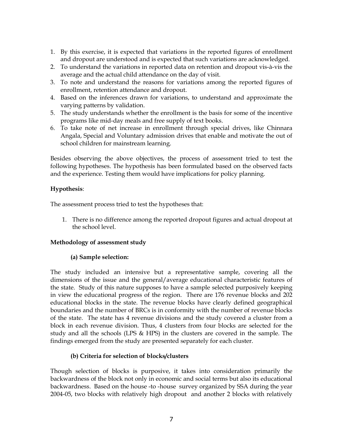- 1. By this exercise, it is expected that variations in the reported figures of enrollment and dropout are understood and is expected that such variations are acknowledged.
- 2. To understand the variations in reported data on retention and dropout vis-à-vis the average and the actual child attendance on the day of visit.
- 3. To note and understand the reasons for variations among the reported figures of enrollment, retention attendance and dropout.
- 4. Based on the inferences drawn for variations, to understand and approximate the varying patterns by validation.
- 5. The study understands whether the enrollment is the basis for some of the incentive programs like mid-day meals and free supply of text books.
- 6. To take note of net increase in enrollment through special drives, like Chinnara Angala, Special and Voluntary admission drives that enable and motivate the out of school children for mainstream learning.

Besides observing the above objectives, the process of assessment tried to test the following hypotheses. The hypothesis has been formulated based on the observed facts and the experience. Testing them would have implications for policy planning.

## Hypothesis:

The assessment process tried to test the hypotheses that:

1. There is no difference among the reported dropout figures and actual dropout at the school level.

## Methodology of assessment study

## (a) Sample selection:

The study included an intensive but a representative sample, covering all the dimensions of the issue and the general/average educational characteristic features of the state. Study of this nature supposes to have a sample selected purposively keeping in view the educational progress of the region. There are 176 revenue blocks and 202 educational blocks in the state. The revenue blocks have clearly defined geographical boundaries and the number of BRCs is in conformity with the number of revenue blocks of the state. The state has 4 revenue divisions and the study covered a cluster from a block in each revenue division. Thus, 4 clusters from four blocks are selected for the study and all the schools (LPS & HPS) in the clusters are covered in the sample. The findings emerged from the study are presented separately for each cluster.

## (b) Criteria for selection of blocks/clusters

Though selection of blocks is purposive, it takes into consideration primarily the backwardness of the block not only in economic and social terms but also its educational backwardness. Based on the house -to -house survey organized by SSA during the year 2004-05, two blocks with relatively high dropout and another 2 blocks with relatively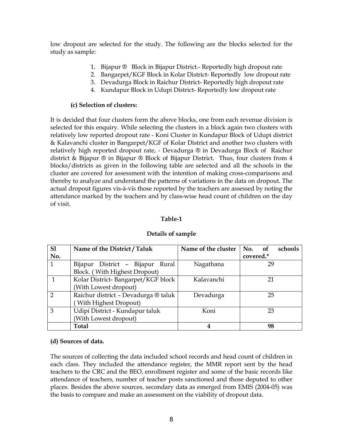low dropout are selected for the study. The following are the blocks selected for the study as sample:

- 1. Bijapur ® Block in Bijapur District.- Reportedly high dropout rate
- 2. Bangarpet/KGF Block in Kolar District- Reportedly low dropout rate
- 3. Devadurga Block in Raichur District- Reportedly high dropout rate
- 4. Kundapur Block in Udupi District- Reportedly low dropout rate

## (c) Selection of clusters:

It is decided that four clusters form the above blocks, one from each revenue division is selected for this enquiry. While selecting the clusters in a block again two clusters with relatively low reported dropout rate - Koni Cluster in Kundapur Block of Udupi district & Kalavanchi cluster in Bangarpet/KGF of Kolar District and another two clusters with relatively high reported dropout rate, - Devadurga ® in Devadurga Block of Raichur district & Bijapur ® in Bijapur ® Block of Bijapur District. Thus, four clusters from 4 blocks/districts as given in the following table are selected and all the schools in the cluster are covered for assessment with the intention of making cross-comparisons and thereby to analyze and understand the patterns of variations in the data on dropout. The actual dropout figures vis-à-vis those reported by the teachers are assessed by noting the attendance marked by the teachers and by class-wise head count of children on the day of visit.

## Table-1

| S1             | Name of the District / Taluk         | Name of the cluster | schools<br>No.<br>of |
|----------------|--------------------------------------|---------------------|----------------------|
| No.            |                                      |                     | covered.*            |
|                | District - Bijapur Rural<br>Bijapur  | Nagathana           | 29                   |
|                | Block. (With Highest Dropout)        |                     |                      |
|                | Kolar District-Bangarpet/KGF block   | Kalavanchi          | 21                   |
|                | (With Lowest dropout)                |                     |                      |
| $\overline{2}$ | Raichur district - Devadurga ® taluk | Devadurga           | 25                   |
|                | With Highest Dropout)                |                     |                      |
| 3              | Udipi District - Kundapur taluk      | Koni                | 23                   |
|                | (With Lowest dropout)                |                     |                      |
|                | <b>Total</b>                         |                     | 98                   |

## Details of sample

## (d) Sources of data.

The sources of collecting the data included school records and head count of children in each class. They included the attendance register, the MMR report sent by the head teachers to the CRC and the BEO, enrollment register and some of the basic records like attendance of teachers, number of teacher posts sanctioned and those deputed to other places. Besides the above sources, secondary data as emerged from EMIS (2004-05) was the basis to compare and make an assessment on the viability of dropout data.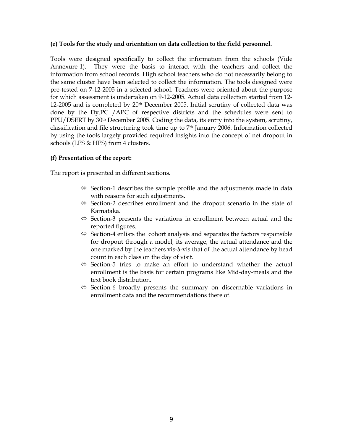#### (e) Tools for the study and orientation on data collection to the field personnel.

Tools were designed specifically to collect the information from the schools (Vide Annexure-1). They were the basis to interact with the teachers and collect the information from school records. High school teachers who do not necessarily belong to the same cluster have been selected to collect the information. The tools designed were pre-tested on 7-12-2005 in a selected school. Teachers were oriented about the purpose for which assessment is undertaken on 9-12-2005. Actual data collection started from 12- 12-2005 and is completed by 20<sup>th</sup> December 2005. Initial scrutiny of collected data was done by the Dy.PC /APC of respective districts and the schedules were sent to PPU/DSERT by 30th December 2005. Coding the data, its entry into the system, scrutiny, classification and file structuring took time up to 7th January 2006. Information collected by using the tools largely provided required insights into the concept of net dropout in schools (LPS & HPS) from 4 clusters.

## (f) Presentation of the report:

The report is presented in different sections.

- $\Leftrightarrow$  Section-1 describes the sample profile and the adjustments made in data with reasons for such adjustments.
- $\Leftrightarrow$  Section-2 describes enrollment and the dropout scenario in the state of Karnataka.
- $\Leftrightarrow$  Section-3 presents the variations in enrollment between actual and the reported figures.
- $\Leftrightarrow$  Section-4 enlists the cohort analysis and separates the factors responsible for dropout through a model, its average, the actual attendance and the one marked by the teachers vis-à-vis that of the actual attendance by head count in each class on the day of visit.
- $\Leftrightarrow$  Section-5 tries to make an effort to understand whether the actual enrollment is the basis for certain programs like Mid-day-meals and the text book distribution.
- $\Leftrightarrow$  Section-6 broadly presents the summary on discernable variations in enrollment data and the recommendations there of.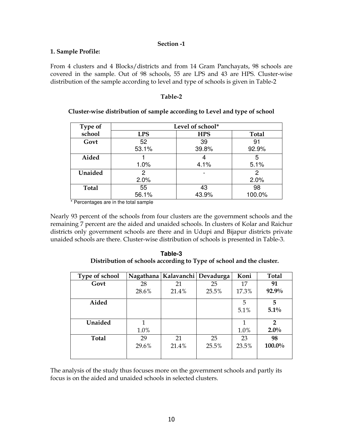### Section -1

#### 1. Sample Profile:

From 4 clusters and 4 Blocks/districts and from 14 Gram Panchayats, 98 schools are covered in the sample. Out of 98 schools, 55 are LPS and 43 are HPS. Cluster-wise distribution of the sample according to level and type of schools is given in Table-2

#### Table-2

| Type of      | Level of school* |            |              |  |  |  |  |  |  |
|--------------|------------------|------------|--------------|--|--|--|--|--|--|
| school       | <b>LPS</b>       | <b>HPS</b> | <b>Total</b> |  |  |  |  |  |  |
| Govt         | 52               | 39         | 91           |  |  |  |  |  |  |
|              | 53.1%            | 39.8%      | 92.9%        |  |  |  |  |  |  |
| Aided        |                  |            | 5            |  |  |  |  |  |  |
|              | 1.0%             | 4.1%       | 5.1%         |  |  |  |  |  |  |
| Unaided      | 2                |            | 2            |  |  |  |  |  |  |
|              | 2.0%             |            | 2.0%         |  |  |  |  |  |  |
| <b>Total</b> | 55               | 43         | 98           |  |  |  |  |  |  |
|              | 56.1%            | 43.9%      | 100.0%       |  |  |  |  |  |  |

## Cluster-wise distribution of sample according to Level and type of school

\* Percentages are in the total sample

Nearly 93 percent of the schools from four clusters are the government schools and the remaining 7 percent are the aided and unaided schools. In clusters of Kolar and Raichur districts only government schools are there and in Udupi and Bijapur districts private unaided schools are there. Cluster-wise distribution of schools is presented in Table-3.

| Table-3                                                              |
|----------------------------------------------------------------------|
| Distribution of schools according to Type of school and the cluster. |

| Type of school |       | Nagathana   Kalavanchi   Devadurga |       | Koni         | Total          |
|----------------|-------|------------------------------------|-------|--------------|----------------|
| Govt           | 28    | 21                                 | 25    | 17           | 91             |
|                | 28.6% | 21.4%                              | 25.5% | 17.3%        | 92.9%          |
| Aided          |       |                                    |       | 5            | 5              |
|                |       |                                    |       | 5.1%         | $5.1\%$        |
| Unaided        | 1     |                                    |       | $\mathbf{1}$ | $\overline{2}$ |
|                | 1.0%  |                                    |       | 1.0%         | $2.0\%$        |
| <b>Total</b>   | 29    | 21                                 | 25    | 23           | 98             |
|                | 29.6% | 21.4%                              | 25.5% | 23.5%        | 100.0%         |
|                |       |                                    |       |              |                |

The analysis of the study thus focuses more on the government schools and partly its focus is on the aided and unaided schools in selected clusters.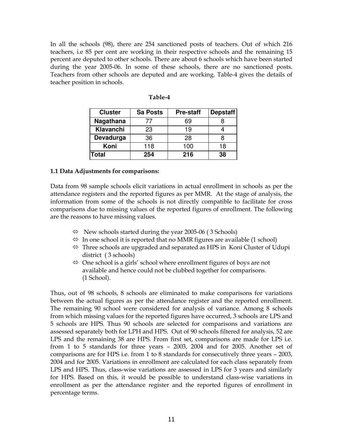In all the schools (98), there are 254 sanctioned posts of teachers. Out of which 216 teachers, i.e 85 per cent are working in their respective schools and the remaining 15 percent are deputed to other schools. There are about 6 schools which have been started during the year 2005-06. In some of these schools, there are no sanctioned posts. Teachers from other schools are deputed and are working. Table-4 gives the details of teacher position in schools.

| <b>Cluster</b> | <b>Sa Posts</b> | <b>Pre-staff</b> | <b>Depstaff</b> |  |
|----------------|-----------------|------------------|-----------------|--|
| Nagathana      | 77              | 69               |                 |  |
| Klavanchi      | 23              | 19               |                 |  |
| Devadurga      | 36              | 28               |                 |  |
| Koni           | 118             | 100              | 18              |  |
| <b>Total</b>   | 254             | 216              | 38              |  |

| Table-4 |
|---------|
|         |

#### 1.1 Data Adjustments for comparisons:

Data from 98 sample schools elicit variations in actual enrollment in schools as per the attendance registers and the reported figures as per MMR. At the stage of analysis, the information from some of the schools is not directly compatible to facilitate for cross comparisons due to missing values of the reported figures of enrollment. The following are the reasons to have missing values.

- $\Leftrightarrow$  New schools started during the year 2005-06 (3 Schools)
- $\Leftrightarrow$  In one school it is reported that no MMR figures are available (1 school)
- $\Leftrightarrow$  Three schools are upgraded and separated as HPS in Koni Cluster of Udupi district ( 3 schools)
- One school is a girls' school where enrollment figures of boys are not available and hence could not be clubbed together for comparisons. (1 School).

Thus, out of 98 schools, 8 schools are eliminated to make comparisons for variations between the actual figures as per the attendance register and the reported enrollment. The remaining 90 school were considered for analysis of variance. Among 8 schools from which missing values for the reported figures have occurred, 3 schools are LPS and 5 schools are HPS. Thus 90 schools are selected for comparisons and variations are assessed separately both for LPH and HPS. Out of 90 schools filtered for analysis, 52 are LPS and the remaining 38 are HPS. From first set, comparisons are made for LPS i.e. from 1 to 5 standards for three years – 2003, 2004 and for 2005. Another set of comparisons are for HPS i.e. from 1 to 8 standards for consecutively three years – 2003, 2004 and for 2005. Variations in enrollment are calculated for each class separately from LPS and HPS. Thus, class-wise variations are assessed in LPS for 3 years and similarly for HPS. Based on this, it would be possible to understand class-wise variations in enrollment as per the attendance register and the reported figures of enrollment in percentage terms.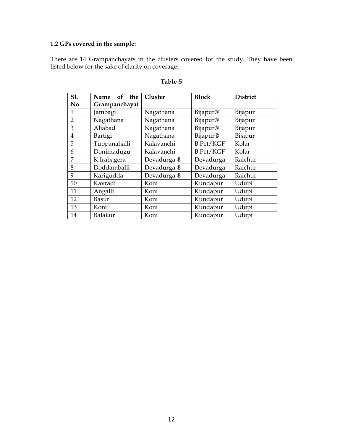## 1.2 GPs covered in the sample:

There are 14 Grampanchayats in the clusters covered for the study. They have been listed below for the sake of clarity on coverage:

| S1.            | the<br><b>Name</b><br>of | Cluster                | <b>Block</b>     | <b>District</b> |  |
|----------------|--------------------------|------------------------|------------------|-----------------|--|
| No             | Grampanchayat            |                        |                  |                 |  |
| 1              | Jambagi                  | Nagathana              | Bijapur®         | Bijapur         |  |
| $\overline{2}$ | Nagathana                | Nagathana              | Bijapur®         | Bijapur         |  |
| 3              | Aliabad                  | Nagathana              | Bijapur®         | Bijapur         |  |
| $\overline{4}$ | Bartigi                  | Nagathana              | Bijapur®         | Bijapur         |  |
| 5              | Tuppanahalli             | Kalavanchi             | <b>B.Pet/KGF</b> | Kolar           |  |
| 6              | Donimadugu               | Kalavanchi             | B.Pet/KGF        | Kolar           |  |
| 7              | K.Irabagera              | Devadurga ®            | Devadurga        | Raichur         |  |
| 8              | Doddamballi              | Devadurga <sup>®</sup> | Devadurga        | Raichur         |  |
| 9              | Karigudda                | Devadurga <sup>®</sup> | Devadurga        | Raichur         |  |
| 10             | Kavradi                  | Koni                   | Kundapur         | Udupi           |  |
| 11             | Angalli                  | Koni                   | Kundapur         | Udupi           |  |
| 12             | Basur                    | Koni                   | Kundapur         | Udupi           |  |
| 13             | Koni                     | Koni                   | Kundapur         | Udupi           |  |
| 14             | Balakur                  | Koni                   | Kundapur         | Udupi           |  |

#### Table-5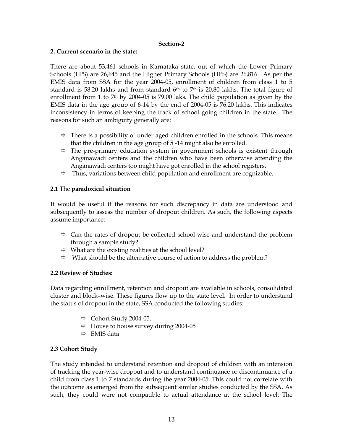#### Section-2

#### 2. Current scenario in the state:

There are about 53,461 schools in Karnataka state, out of which the Lower Primary Schools (LPS) are 26,645 and the Higher Primary Schools (HPS) are 26,816. As per the EMIS data from SSA for the year 2004-05, enrollment of children from class 1 to 5 standard is 58.20 lakhs and from standard  $6<sup>th</sup>$  to 7<sup>th</sup> is 20.80 lakhs. The total figure of enrollment from 1 to 7<sup>th</sup> by 2004-05 is 79.00 laks. The child population as given by the EMIS data in the age group of 6-14 by the end of 2004-05 is 76.20 lakhs. This indicates inconsistency in terms of keeping the track of school going children in the state. The reasons for such an ambiguity generally are:

- $\Rightarrow$  There is a possibility of under aged children enrolled in the schools. This means that the children in the age group of 5 -14 might also be enrolled.
- $\Rightarrow$  The pre-primary education system in government schools is existent through Anganawadi centers and the children who have been otherwise attending the Anganawadi centers too might have got enrolled in the school registers.
- $\Rightarrow$  Thus, variations between child population and enrollment are cognizable.

## 2.1 The paradoxical situation

It would be useful if the reasons for such discrepancy in data are understood and subsequently to assess the number of dropout children. As such, the following aspects assume importance:

- $\Rightarrow$  Can the rates of dropout be collected school-wise and understand the problem through a sample study?
- $\Rightarrow$  What are the existing realities at the school level?
- $\Rightarrow$  What should be the alternative course of action to address the problem?

## 2.2 Review of Studies:

Data regarding enrollment, retention and dropout are available in schools, consolidated cluster and block–wise. These figures flow up to the state level. In order to understand the status of dropout in the state, SSA conducted the following studies:

- $\Rightarrow$  Cohort Study 2004-05.
- $\Rightarrow$  House to house survey during 2004-05
- $\Rightarrow$  EMIS data

## 2.3 Cohort Study

The study intended to understand retention and dropout of children with an intension of tracking the year-wise dropout and to understand continuance or discontinuance of a child from class 1 to 7 standards during the year 2004-05. This could not correlate with the outcome as emerged from the subsequent similar studies conducted by the SSA. As such, they could were not compatible to actual attendance at the school level. The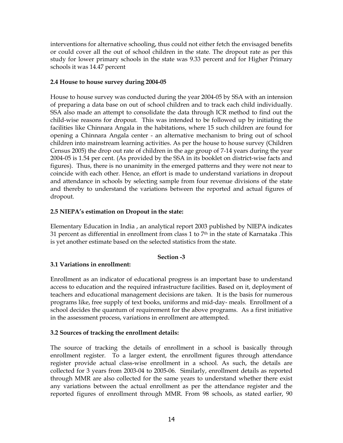interventions for alternative schooling, thus could not either fetch the envisaged benefits or could cover all the out of school children in the state. The dropout rate as per this study for lower primary schools in the state was 9.33 percent and for Higher Primary schools it was 14.47 percent

## 2.4 House to house survey during 2004-05

House to house survey was conducted during the year 2004-05 by SSA with an intension of preparing a data base on out of school children and to track each child individually. SSA also made an attempt to consolidate the data through ICR method to find out the child-wise reasons for dropout. This was intended to be followed up by initiating the facilities like Chinnara Angala in the habitations, where 15 such children are found for opening a Chinnara Angala center - an alternative mechanism to bring out of school children into mainstream learning activities. As per the house to house survey (Children Census 2005) the drop out rate of children in the age group of 7-14 years during the year 2004-05 is 1.54 per cent. (As provided by the SSA in its booklet on district-wise facts and figures). Thus, there is no unanimity in the emerged patterns and they were not near to coincide with each other. Hence, an effort is made to understand variations in dropout and attendance in schools by selecting sample from four revenue divisions of the state and thereby to understand the variations between the reported and actual figures of dropout.

## 2.5 NIEPA's estimation on Dropout in the state:

Elementary Education in India , an analytical report 2003 published by NIEPA indicates 31 percent as differential in enrollment from class 1 to  $7<sup>th</sup>$  in the state of Karnataka .This is yet another estimate based on the selected statistics from the state.

## Section -3

## 3.1 Variations in enrollment:

Enrollment as an indicator of educational progress is an important base to understand access to education and the required infrastructure facilities. Based on it, deployment of teachers and educational management decisions are taken. It is the basis for numerous programs like, free supply of text books, uniforms and mid-day- meals. Enrollment of a school decides the quantum of requirement for the above programs. As a first initiative in the assessment process, variations in enrollment are attempted.

## 3.2 Sources of tracking the enrollment details:

The source of tracking the details of enrollment in a school is basically through enrollment register. To a larger extent, the enrollment figures through attendance register provide actual class-wise enrollment in a school. As such, the details are collected for 3 years from 2003-04 to 2005-06. Similarly, enrollment details as reported through MMR are also collected for the same years to understand whether there exist any variations between the actual enrollment as per the attendance register and the reported figures of enrollment through MMR. From 98 schools, as stated earlier, 90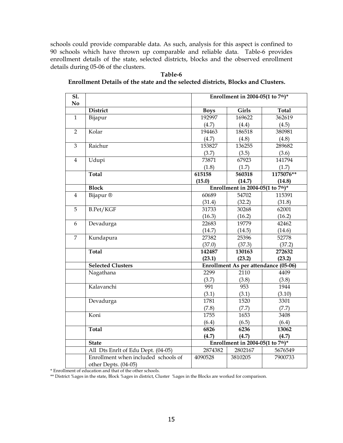schools could provide comparable data. As such, analysis for this aspect is confined to 90 schools which have thrown up comparable and reliable data. Table-6 provides enrollment details of the state, selected districts, blocks and the observed enrollment details during 05-06 of the clusters.

| S1.            |                                     | Enrollment in 2004-05(1 to $7th$ )* |                                               |              |  |  |  |  |  |
|----------------|-------------------------------------|-------------------------------------|-----------------------------------------------|--------------|--|--|--|--|--|
| N <sub>o</sub> | <b>District</b>                     | <b>Boys</b>                         | Girls                                         | <b>Total</b> |  |  |  |  |  |
| $\mathbf{1}$   |                                     | 192997                              | 169622                                        | 362619       |  |  |  |  |  |
|                | Bijapur                             |                                     |                                               |              |  |  |  |  |  |
|                |                                     | (4.7)                               | (4.4)                                         | (4.5)        |  |  |  |  |  |
| $\overline{2}$ | Kolar                               | 194463                              | 186518                                        | 380981       |  |  |  |  |  |
|                |                                     | (4.7)                               | (4.8)                                         | (4.8)        |  |  |  |  |  |
| $\overline{3}$ | Raichur                             | 153827                              | 136255                                        | 289682       |  |  |  |  |  |
|                |                                     | (3.7)                               | (3.5)                                         | (3.6)        |  |  |  |  |  |
| $\overline{4}$ | Udupi                               | 73871                               | 67923                                         | 141794       |  |  |  |  |  |
|                |                                     | (1.8)                               | (1.7)                                         | (1.7)        |  |  |  |  |  |
|                | <b>Total</b>                        | 615158                              | 560318                                        | 1175076**    |  |  |  |  |  |
|                |                                     | (15.0)                              | (14.7)                                        | (14.8)       |  |  |  |  |  |
|                | <b>Block</b>                        |                                     | Enrollment in 2004-05(1 to $7th$ )*           |              |  |  |  |  |  |
| $\overline{4}$ | Bijapur <sup>®</sup>                | 60689                               | 54702                                         | 115391       |  |  |  |  |  |
|                |                                     | (31.4)                              | (32.2)                                        | (31.8)       |  |  |  |  |  |
| $\overline{5}$ | B.Pet/KGF                           | 31733                               | 30268                                         | 62001        |  |  |  |  |  |
|                |                                     | (16.3)                              | (16.2)                                        | (16.2)       |  |  |  |  |  |
| 6              | Devadurga                           | 22683                               | 19779                                         | 42462        |  |  |  |  |  |
|                |                                     | (14.7)                              | (14.5)                                        | (14.6)       |  |  |  |  |  |
| $\overline{7}$ | Kundapura                           | 27382                               | 25396                                         | 52778        |  |  |  |  |  |
|                |                                     | (37.0)                              | (37.3)                                        | (37.2)       |  |  |  |  |  |
|                | Total                               | 142487                              | 130163                                        | 272632       |  |  |  |  |  |
|                |                                     | (23.1)                              | (23.2)                                        | (23.2)       |  |  |  |  |  |
|                | <b>Selected Clusters</b>            |                                     | Enrollment As per attendance (05-06)          |              |  |  |  |  |  |
|                | Nagathana                           | 2299                                | 2110                                          | 4409         |  |  |  |  |  |
|                |                                     | (3.7)                               | (3.8)                                         | (3.8)        |  |  |  |  |  |
|                | Kalavanchi                          | 991                                 | 953                                           | 1944         |  |  |  |  |  |
|                |                                     | (3.1)                               | (3.1)                                         | (3.10)       |  |  |  |  |  |
|                | Devadurga                           | 1781                                | 1520                                          | 3301         |  |  |  |  |  |
|                |                                     | (7.8)                               | (7.7)                                         | (7.7)        |  |  |  |  |  |
|                | Koni                                | 1755                                | 1653                                          | 3408         |  |  |  |  |  |
|                |                                     | (6.4)                               | (6.5)                                         | (6.4)        |  |  |  |  |  |
|                | <b>Total</b>                        | 6826                                | 6236                                          | 13062        |  |  |  |  |  |
|                |                                     | (4.7)                               | (4.7)                                         | (4.7)        |  |  |  |  |  |
|                | <b>State</b>                        |                                     | Enrollment in 2004-05(1 to $7^{\text{th}}$ )* |              |  |  |  |  |  |
|                | All Dts Enrlt of Edu Dept. (04-05)  | 2874382                             | 2802167                                       | 5676549      |  |  |  |  |  |
|                | Enrollment when included schools of | 4090528                             | 3810205                                       | 7900733      |  |  |  |  |  |
|                | other Depts. (04-05)                |                                     |                                               |              |  |  |  |  |  |

Table-6 Enrollment Details of the state and the selected districts, Blocks and Clusters.

\* Enrollment of education and that of the other schools.

\*\* District %ages in the state, Block %ages in district, Cluster %ages in the Blocks are worked for comparison.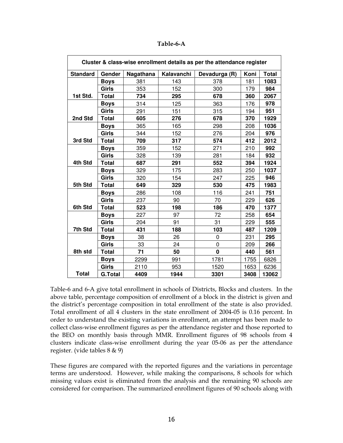| Table-6-A |
|-----------|
|-----------|

| Cluster & class-wise enrollment details as per the attendance register |                |           |            |               |      |              |  |  |  |
|------------------------------------------------------------------------|----------------|-----------|------------|---------------|------|--------------|--|--|--|
| <b>Standard</b>                                                        | Gender         | Nagathana | Kalavanchi | Devadurga (R) | Koni | <b>Total</b> |  |  |  |
|                                                                        | Boys           | 381       | 143        | 378           | 181  | 1083         |  |  |  |
|                                                                        | Girls          | 353       | 152        | 300           | 179  | 984          |  |  |  |
| 1st Std.                                                               | <b>Total</b>   | 734       | 295        | 678           | 360  | 2067         |  |  |  |
|                                                                        | <b>Boys</b>    | 314       | 125        | 363           | 176  | 978          |  |  |  |
|                                                                        | <b>Girls</b>   | 291       | 151        | 315           | 194  | 951          |  |  |  |
| 2nd Std                                                                | <b>Total</b>   | 605       | 276        | 678           | 370  | 1929         |  |  |  |
|                                                                        | <b>Boys</b>    | 365       | 165        | 298           | 208  | 1036         |  |  |  |
|                                                                        | <b>Girls</b>   | 344       | 152        | 276           | 204  | 976          |  |  |  |
| 3rd Std                                                                | <b>Total</b>   | 709       | 317        | 574           | 412  | 2012         |  |  |  |
|                                                                        | <b>Boys</b>    | 359       | 152        | 271           | 210  | 992          |  |  |  |
|                                                                        | <b>Girls</b>   | 328       | 139        | 281           | 184  | 932          |  |  |  |
| 4th Std                                                                | <b>Total</b>   | 687       | 291        | 552           | 394  | 1924         |  |  |  |
|                                                                        | <b>Boys</b>    | 329       | 175        | 283           | 250  | 1037         |  |  |  |
|                                                                        | <b>Girls</b>   | 320       | 154        | 247           | 225  | 946          |  |  |  |
| 5th Std                                                                | <b>Total</b>   | 649       | 329        | 530           | 475  | 1983         |  |  |  |
|                                                                        | <b>Boys</b>    | 286       | 108        | 116           | 241  | 751          |  |  |  |
|                                                                        | Girls          | 237       | 90         | 70            | 229  | 626          |  |  |  |
| 6th Std                                                                | <b>Total</b>   | 523       | 198        | 186           | 470  | 1377         |  |  |  |
|                                                                        | <b>Boys</b>    | 227       | 97         | 72            | 258  | 654          |  |  |  |
|                                                                        | Girls          | 204       | 91         | 31            | 229  | 555          |  |  |  |
| 7th Std                                                                | <b>Total</b>   | 431       | 188        | 103           | 487  | 1209         |  |  |  |
|                                                                        | Boys           | 38        | 26         | 0             | 231  | 295          |  |  |  |
|                                                                        | Girls          | 33        | 24         | $\Omega$      | 209  | 266          |  |  |  |
| 8th std                                                                | <b>Total</b>   | 71        | 50         | $\bf{0}$      | 440  | 561          |  |  |  |
|                                                                        | <b>Boys</b>    | 2299      | 991        | 1781          | 1755 | 6826         |  |  |  |
|                                                                        | Girls          | 2110      | 953        | 1520          | 1653 | 6236         |  |  |  |
| <b>Total</b>                                                           | <b>G.Total</b> | 4409      | 1944       | 3301          | 3408 | 13062        |  |  |  |

Table-6 and 6-A give total enrollment in schools of Districts, Blocks and clusters. In the above table, percentage composition of enrollment of a block in the district is given and the district's percentage composition in total enrollment of the state is also provided. Total enrollment of all 4 clusters in the state enrollment of 2004-05 is 0.16 percent. In order to understand the existing variations in enrollment, an attempt has been made to collect class-wise enrollment figures as per the attendance register and those reported to the BEO on monthly basis through MMR. Enrollment figures of 98 schools from 4 clusters indicate class-wise enrollment during the year 05-06 as per the attendance register. (vide tables 8 & 9)

These figures are compared with the reported figures and the variations in percentage terms are understood. However, while making the comparisons, 8 schools for which missing values exist is eliminated from the analysis and the remaining 90 schools are considered for comparison. The summarized enrollment figures of 90 schools along with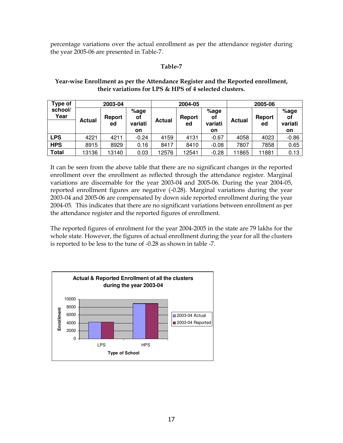percentage variations over the actual enrollment as per the attendance register during the year 2005-06 are presented in Table-7.

## Table-7

## Year-wise Enrollment as per the Attendance Register and the Reported enrollment, their variations for LPS & HPS of 4 selected clusters.

| Type of         |               | 2003-04       |               |               | 2004-05       |               | 2005-06       |        |               |  |
|-----------------|---------------|---------------|---------------|---------------|---------------|---------------|---------------|--------|---------------|--|
| school/<br>Year | <b>Actual</b> | <b>Report</b> | $%$ age<br>оf | <b>Actual</b> | <b>Report</b> | $%$ age<br>οi | <b>Actual</b> | Report | $%$ age<br>οf |  |
|                 |               | ed            | variati       |               | ed            | variati       |               | ed     | variati       |  |
|                 |               |               | on            |               |               | on            |               |        | on            |  |
| LPS             | 4221          | 4211          | $-0.24$       | 4159          | 4131          | $-0.67$       | 4058          | 4023   | $-0.86$       |  |
| <b>HPS</b>      | 8915          | 8929          | 0.16          | 8417          | 8410          | $-0.08$       | 7807          | 7858   | 0.65          |  |
| <b>Total</b>    | 13136         | 13140         | 0.03          | 12576         | 12541         | $-0.28$       | 11865         | 11881  | 0.13          |  |

It can be seen from the above table that there are no significant changes in the reported enrollment over the enrollment as reflected through the attendance register. Marginal variations are discernable for the year 2003-04 and 2005-06. During the year 2004-05, reported enrollment figures are negative (-0.28). Marginal variations during the year 2003-04 and 2005-06 are compensated by down side reported enrollment during the year 2004-05. This indicates that there are no significant variations between enrollment as per the attendance register and the reported figures of enrollment.

The reported figures of enrolment for the year 2004-2005 in the state are 79 lakhs for the whole state. However, the figures of actual enrollment during the year for all the clusters is reported to be less to the tune of -0.28 as shown in table -7.

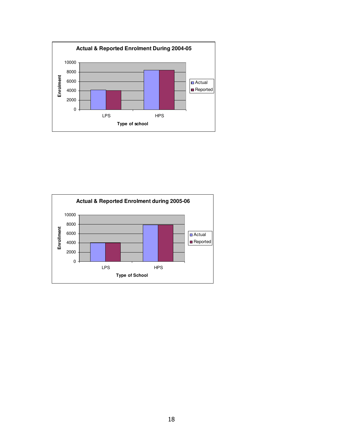

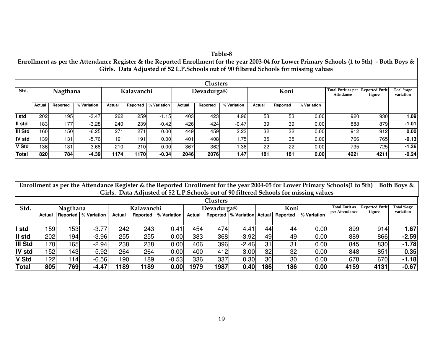|         | Table-8                                                                                                                                                                                                                                 |          |             |        |             |             |        |            |             |        |          |             |                                                |        |                        |
|---------|-----------------------------------------------------------------------------------------------------------------------------------------------------------------------------------------------------------------------------------------|----------|-------------|--------|-------------|-------------|--------|------------|-------------|--------|----------|-------------|------------------------------------------------|--------|------------------------|
|         | Enrollment as per the Attendance Register & the Reported Enrollment for the year 2003-04 for Lower Primary Schools (1 to 5th) - Both Boys & $ $<br>Girls. Data Adjusted of 52 L.P.Schools out of 90 filtered Schools for missing values |          |             |        |             |             |        |            |             |        |          |             |                                                |        |                        |
|         | <b>Clusters</b>                                                                                                                                                                                                                         |          |             |        |             |             |        |            |             |        |          |             |                                                |        |                        |
| Std.    |                                                                                                                                                                                                                                         | Nagthana |             |        | Kalavanchi  |             |        | Devadurga® |             | Koni   |          |             | Total Enrlt as per Reported Enrlt<br>Attndance | figure | Toal %age<br>variation |
|         | Actual                                                                                                                                                                                                                                  | Reported | % Variation | Actual | Reported    | % Variation | Actual | Reported   | % Variation | Actual | Reported | % Variation |                                                |        |                        |
| ll std  | 202                                                                                                                                                                                                                                     | 195      | $-3.47$     | 262    | 259         | $-1.15$     | 403    | 423        | 4.96        | 53     | 53       | 0.00        | 920                                            | 930    | 1.09                   |
| II std  | 183                                                                                                                                                                                                                                     | 177      | $-3.28$     | 240    | 239         | $-0.42$     | 426    | 424        | $-0.47$     | 39     | 39       | 0.00        | 888                                            | 879    | $-1.01$                |
| III Std | 160                                                                                                                                                                                                                                     | 150      | $-6.25$     | 271    | 271         | 0.00        | 449    | 459        | 2.23        | 32     | 32       | 0.00        | 912                                            | 912    | 0.00                   |
| IV std  | 139                                                                                                                                                                                                                                     | 131      | $-5.76$     | 191    | 191         | 0.00        | 401    | 408        | 1.75        | 35     | 35       | 0.00        | 766                                            | 765    | $-0.13$                |
| V Std   | 136                                                                                                                                                                                                                                     | 131      | $-3.68$     | 210    | 210         | 0.00        | 367    | 362        | $-1.36$     | 22     | 22       | 0.00        | 735                                            | 725    | $-1.36$                |
| Total   | 820                                                                                                                                                                                                                                     | 784      | $-4.39$     | 1174   | <b>1170</b> | $-0.34$     | 2046   | 2076       | 1.47        | 181    | 181      | 0.00        | 4221                                           | 4211   | $-0.24$                |

|                | Enrollment as per the Attendance Register & the Reported Enrollment for the year 2004-05 for Lower Primary Schools(1 to 5th)<br>Both Boys &    |                  |                        |        |                 |             |        |      |                                |                 |          |             |      |      |         |
|----------------|------------------------------------------------------------------------------------------------------------------------------------------------|------------------|------------------------|--------|-----------------|-------------|--------|------|--------------------------------|-----------------|----------|-------------|------|------|---------|
|                | Girls. Data Adjusted of 52 L.P.Schools out of 90 filtered Schools for missing values                                                           |                  |                        |        |                 |             |        |      |                                |                 |          |             |      |      |         |
|                | <b>Clusters</b>                                                                                                                                |                  |                        |        |                 |             |        |      |                                |                 |          |             |      |      |         |
| Std.           | <b>Reported Enrlt</b><br>Total %age<br>Total Enrlt as<br>Koni<br>Nagthana<br>Kalavanchi<br>Devadurga®<br>variation<br>per Attendance<br>figure |                  |                        |        |                 |             |        |      |                                |                 |          |             |      |      |         |
|                | Actual                                                                                                                                         |                  | Reported   % Variation | Actual | <b>Reported</b> | % Variation | Actual |      | Reported  % Variation   Actual |                 | Reported | % Variation |      |      |         |
|                |                                                                                                                                                |                  |                        |        |                 |             |        |      |                                |                 |          |             |      |      |         |
| I std          | 159                                                                                                                                            | 153 <sub>1</sub> | $-3.77$                | 242    | 243             | 0.41        | 454    | 474  | 4.41                           | 44              | 44       | 0.00        | 899  | 914  | 1.67    |
| II std         | 202                                                                                                                                            | 194              | $-3.96$                | 255    | 255             | 0.00        | 383    | 368  | $-3.92$                        | 49              | 49       | 0.00        | 889  | 866  | $-2.59$ |
| <b>III Std</b> | 170                                                                                                                                            | 165              | $-2.94$                | 238    | 238             | 0.00        | 406    | 396  | $-2.46$                        | 31              | 31       | 0.00        | 845  | 830  | $-1.78$ |
| <b>IV std</b>  | 152                                                                                                                                            | 1431             | $-5.92$                | 264    | 264             | 0.00        | 400    | 412  | 3.00                           | 32              | 32       | 0.00        | 848  | 851  | 0.35    |
| V Std          | 122                                                                                                                                            | 14               | $-6.56$                | 190    | 189             | $-0.53$     | 336    | 337  | 0.30                           | 30 <sup>°</sup> | 30       | 0.00        | 678  | 670  | $-1.18$ |
| <b>Total</b>   | 805                                                                                                                                            | 769              | $-4.47$                | 1189   | 1189            | 0.00        | 1979   | 1987 | 0.40                           | 186             | 186      | 0.00        | 4159 | 4131 | $-0.67$ |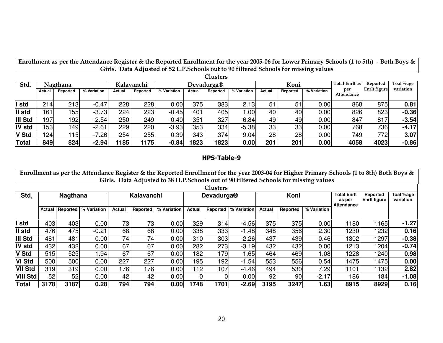|               | Enrollment as per the Attendance Register & the Reported Enrollment for the year 2005-06 for Lower Primary Schools (1 to 5th) - Both Boys & |          |             |        |          |             |        |          |                  |        |          |             |                   |                     |           |
|---------------|---------------------------------------------------------------------------------------------------------------------------------------------|----------|-------------|--------|----------|-------------|--------|----------|------------------|--------|----------|-------------|-------------------|---------------------|-----------|
|               | Girls. Data Adjusted of 52 L.P. Schools out to 90 filtered Schools for missing values                                                       |          |             |        |          |             |        |          |                  |        |          |             |                   |                     |           |
|               | <b>Clusters</b>                                                                                                                             |          |             |        |          |             |        |          |                  |        |          |             |                   |                     |           |
| Std.          | <b>Total Enrlt as</b><br>Koni<br>Kalavanchi<br>Nagthana<br>Devadurga®                                                                       |          |             |        |          |             |        |          |                  |        | Reported | Toal %age   |                   |                     |           |
|               | Actual                                                                                                                                      | Reported | % Variation | Actual | Reported | % Variation | Actual | Reported | % Variation      | Actual | Reported | % Variation | per<br>Attendance | <b>Enrlt</b> figure | variation |
|               |                                                                                                                                             |          |             |        |          |             |        |          |                  |        |          |             |                   |                     |           |
| I std         | 214                                                                                                                                         | 213      | $-0.47$     | 228    | 228      | 0.00        | 375    | 383      | 2.13             | 51     | 51       | 0.00        | 868               | 875                 | 0.81      |
| II std        | 161                                                                                                                                         | 155      | $-3.73$     | 224    | 223      | $-0.45$     | 401    | 405      | .00 <sub>l</sub> | 40     | 40       | 0.00        | 826               | 823                 | $-0.36$   |
| III Std       | 197                                                                                                                                         | 192      | $-2.54$     | 250    | 249      | $-0.40$     | 351    | 327      | $-6.84$          | 49     | 49       | 0.00        | 847               | 817                 | $-3.54$   |
| <b>IV std</b> | 153                                                                                                                                         | 149      | $-2.61$     | 229    | 220      | $-3.93$     | 353    | 334      | $-5.38$          | 33     | 33       | 0.00        | 768               | 7361                | $-4.17$   |
| <b>V Std</b>  | 124                                                                                                                                         | 115      | $-7.26$     | 254    | 255      | 0.39        | 343    | 374      | 9.04             | 28     | 28       | 0.00        | 749               | 772                 | 3.07      |
| Total         | 849                                                                                                                                         | 824      | $-2.94$     | 1185   | 1175     | $-0.84$     | 1823   | 1823     | 0.00             | 201    | 201      | 0.00        | 4058              | 4023                | $-0.86$   |

## HPS-Table-9

|                 | Enrollment as per the Attendance Register & the Reported Enrollment for the year 2003-04 for Higher Primary Schools (1 to 8th) Both Boys &<br>Girls. Data Adjusted to 38 H.P.Schools out of 90 filtered Schools for missing values |                 |             |            |          |             |                |          |             |        |          |             |                                            |                                 |                        |
|-----------------|------------------------------------------------------------------------------------------------------------------------------------------------------------------------------------------------------------------------------------|-----------------|-------------|------------|----------|-------------|----------------|----------|-------------|--------|----------|-------------|--------------------------------------------|---------------------------------|------------------------|
|                 | <b>Clusters</b>                                                                                                                                                                                                                    |                 |             |            |          |             |                |          |             |        |          |             |                                            |                                 |                        |
| Std,            | <b>Nagthana</b>                                                                                                                                                                                                                    |                 |             | Kalavanchi |          |             | Devadurga®     |          |             |        | Koni     |             | <b>Total Enrit</b><br>as per<br>Attendance | Reported<br><b>Enrit figure</b> | Toal %age<br>variation |
|                 | Actual                                                                                                                                                                                                                             | <b>Reported</b> | % Variation | Actual     | Reported | % Variation | Actual         | Reported | % Variation | Actual | Reported | % Variation |                                            |                                 |                        |
| I std           | 403                                                                                                                                                                                                                                | 403             | 0.00        | 73         | 73       | 0.00        | 329            | 314      | $-4.56$     | 375    | 375      | 0.00        | 1180                                       | 1165                            | $-1.27$                |
| II std          | 476                                                                                                                                                                                                                                | 475             | $-0.21$     | 68         | 68       | 0.00        | 338            | 333      | $-1.48$     | 348    | 356      | 2.30        | 1230                                       | 1232                            | 0.16                   |
| III Std         | 481                                                                                                                                                                                                                                | 481             | 0.00        | 74         | 74       | 0.00        | 310            | 303      | $-2.26$     | 437    | 439      | 0.46        | 1302                                       | 1297                            | $-0.38$                |
| IV std          | 432                                                                                                                                                                                                                                | 432             | 0.00        | 67         | 67       | 0.00        | 282            | 273      | $-3.19$     | 432    | 432      | 0.00        | 1213                                       | 1204                            | $-0.74$                |
| V Std           | 515                                                                                                                                                                                                                                | 525             | .94         | 67         | 67       | 0.00        | 182            | 179      | $-1.65$     | 464    | 469      | 0.08        | 1228                                       | 1240                            | 0.98                   |
| <b>VI Std</b>   | 500                                                                                                                                                                                                                                | 500             | 0.00        | 227        | 227      | 0.00        | 195            | 192      | $-1.54$     | 553    | 556      | 0.54        | 1475                                       | 1475                            | 0.00                   |
| <b>VII Std</b>  | 319                                                                                                                                                                                                                                | 319             | 0.00        | 176        | 76       | 0.00        | 12             | 107      | $-4.46$     | 494    | 530      | 7.29        | 1101                                       | 1132                            | 2.82                   |
| <b>VIII Std</b> | 52                                                                                                                                                                                                                                 | 52              | 0.00        | 42         | 42       | 0.00        | $\overline{0}$ |          | 0.00        | 92     | 90       | $-2.17$     | 186                                        | 184                             | $-1.08$                |
| <b>Total</b>    | 3178                                                                                                                                                                                                                               | 3187            | 0.28        | 794        | 794      | 0.00        | 1748           | 1701     | $-2.69$     | 3195   | 3247     | 1.63        | 8915                                       | 8929                            | 0.16                   |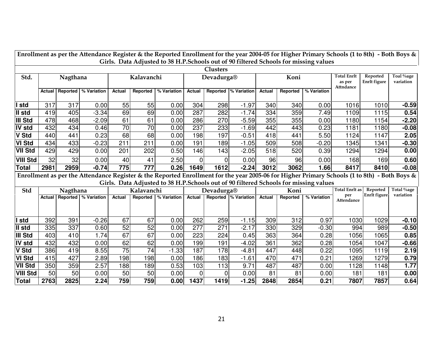|                          | Enrollment as per the Attendance Register & the Reported Enrollment for the year 2004-05 for Higher Primary Schools (1 to 8th) - Both Boys & |            |                        |               |            |              |                     |                  |                       |            |            |                                                                                                                                              |                              |                          |                                       |
|--------------------------|----------------------------------------------------------------------------------------------------------------------------------------------|------------|------------------------|---------------|------------|--------------|---------------------|------------------|-----------------------|------------|------------|----------------------------------------------------------------------------------------------------------------------------------------------|------------------------------|--------------------------|---------------------------------------|
|                          | Girls. Data Adjusted to 38 H.P.Schools out of 90 filtered Schools for missing values<br><b>Clusters</b>                                      |            |                        |               |            |              |                     |                  |                       |            |            |                                                                                                                                              |                              |                          |                                       |
| Std.                     |                                                                                                                                              | Nagthana   |                        |               | Kalavanchi |              |                     | Devadurga®       |                       |            | Koni       |                                                                                                                                              | <b>Total Enrlt</b>           | Reported                 | Toal %age                             |
|                          |                                                                                                                                              |            |                        |               |            |              |                     |                  |                       |            |            |                                                                                                                                              | as per                       | Enrlt figure             | variation                             |
|                          | <b>Actual</b>                                                                                                                                | Reported   | % Variation            | <b>Actual</b> | Reported   | % Variation  | Actual              | Reported         | % Variation           | Actual     | Reported   | % Variation                                                                                                                                  | Attndance                    |                          |                                       |
|                          |                                                                                                                                              |            |                        |               |            |              |                     |                  |                       |            |            |                                                                                                                                              |                              |                          |                                       |
| std                      | 317                                                                                                                                          | 317        | 0.00                   | 55            | 55         | 0.00         | 304                 | 298              | $-1.97$               | 340        | 340        | 0.00                                                                                                                                         | 1016                         | 1010                     | $-0.59$                               |
| II std                   | 419                                                                                                                                          | 405        | $-3.34$                | 69            | 69         | 0.00         | 287                 | 282              | $-1.74$               | 334        | 359        | 7.49                                                                                                                                         | 1109                         | 1115                     | 0.54                                  |
| III Std                  | 478                                                                                                                                          | 468        | $-2.09$                | 61            | 61         | 0.00         | 286                 | 270              | $-5.59$               | 355        | 355        | 0.00                                                                                                                                         | 1180                         | 1154                     | $-2.20$                               |
| IV std                   | 432                                                                                                                                          | 434        | 0.46                   | 70            | 70         | 0.00         | 237                 | 233              | $-1.69$               | 442        | 443        | 0.23                                                                                                                                         | 1181                         | 1180                     | $-0.08$                               |
| V Std                    | 440                                                                                                                                          | 441        | 0.23                   | 68            | 68         | 0.00         | 198                 | 197              | $-0.51$               | 418        | 441        | 5.50                                                                                                                                         | 1124                         | 1147                     | 2.05                                  |
| <b>VI Std</b>            | 434                                                                                                                                          | 433        | $-0.23$                | 211           | 211        | 0.00         | 191                 | 189              | $-1.05$               | 509        | 508        | $-0.20$                                                                                                                                      | 1345                         | 1341                     | $-0.30$                               |
| <b>VII Std</b>           | 429                                                                                                                                          | 429        | 0.00                   | 201           | 202        | 0.50         | 146                 | 143              | $-2.05$               | 518        | 520        | 0.39                                                                                                                                         | 1294                         | 1294                     | 0.00                                  |
| <b>VIII Std</b>          | 32                                                                                                                                           | 32         | 0.00                   | 40            | 41         | 2.50         | 0                   | 0                | 0.00                  | 96         | 96         | 0.00                                                                                                                                         | 168                          | 169                      | 0.60                                  |
| <b>Total</b>             | 2981                                                                                                                                         | 2959       | $-0.74$                | 775           | 777        | 0.26         | 1649                | 1612             | $-2.24$               | 3012       | 3062       | 1.66                                                                                                                                         | 8417                         | 8410                     | $-0.08$                               |
|                          |                                                                                                                                              |            |                        |               |            |              |                     |                  |                       |            |            | Enrollment as per the Attendance Register & the Reported Enrollment for the year 2005-06 for Higher Primary Schools (1 to 8th) - Both Boys & |                              |                          |                                       |
|                          |                                                                                                                                              |            |                        |               |            |              |                     |                  |                       |            |            | Girls. Data Adjusted to 38 H.P.Schools out of 90 filtered Schools for missing values                                                         |                              |                          |                                       |
| Std                      |                                                                                                                                              | Nagthana   |                        |               | Kalavanchi |              |                     | Devadurga®       |                       |            | Koni       |                                                                                                                                              | <b>Total Enrlt as</b><br>per | Reported<br>Enrlt figure | Total <sup>o</sup> /oage<br>variation |
|                          | Actual                                                                                                                                       |            | Reported   % Variation | <b>Actual</b> | Reported   | % Variation  | Actual              |                  | Reported  % Variation | Actual     | Reported   | % Variation                                                                                                                                  | Attendance                   |                          |                                       |
|                          |                                                                                                                                              |            |                        |               |            |              |                     |                  |                       |            |            |                                                                                                                                              |                              |                          |                                       |
|                          |                                                                                                                                              |            |                        |               |            |              |                     |                  |                       |            |            |                                                                                                                                              |                              |                          |                                       |
| I std                    | 392                                                                                                                                          | 391        | $-0.26$                | 67            | 67         | 0.00         | 262<br>277          | 259              | $-1.15$               | 309        | 312        | 0.97                                                                                                                                         | 1030                         | 1029                     | $-0.10$                               |
| II std                   | 335                                                                                                                                          | 337        | 0.60                   | 52            | 52         | 0.00         |                     | 271              | $-2.17$               | 330        | 329        | $-0.30$                                                                                                                                      | 994                          | 989                      | $-0.50$                               |
| III Std                  | 403                                                                                                                                          | 410        | 1.74                   | 67            | 67         | 0.00         | 223                 | 224              | 0.45                  | 363        | 364        | 0.28                                                                                                                                         | 1056                         | 1065                     | 0.85                                  |
| IV std                   | 432                                                                                                                                          | 432        | 0.00                   | 62            | 62         | 0.00         | 199                 | 191              | $-4.02$               | 361        | 362        | 0.28                                                                                                                                         | 1054                         | 1047                     | $-0.66$                               |
| V Std                    | 386                                                                                                                                          | 419        | 8.55                   | 75            | 74         | $-1.33$      | 187                 | 178              | $-4.81$               | 447        | 448        | 0.22                                                                                                                                         | 1095                         | 1119                     | 2.19                                  |
|                          |                                                                                                                                              |            |                        |               |            |              |                     |                  |                       |            |            |                                                                                                                                              |                              |                          |                                       |
| <b>VI Std</b>            | 415                                                                                                                                          | 427        | 2.89                   | 198           | 198        | 0.00         | 186                 | 183              | $-1.61$               | 470        | 471        | 0.21                                                                                                                                         | 1269                         | 1279                     | 0.79                                  |
| <b>VII Std</b>           | 350                                                                                                                                          | 359        | 2.57                   | 188           | 189        | 0.53         | 103                 | 113              | 9.71                  | 487        | 487        | 0.00                                                                                                                                         | 1128                         | 1148                     | 1.77                                  |
| <b>VIII Std</b><br>Total | 50<br>2763                                                                                                                                   | 50<br>2825 | 0.00<br>2.24           | 50<br>759     | 50<br>759  | 0.00<br>0.00 | $\mathbf 0$<br>1437 | $\Omega$<br>1419 | 0.00<br>$-1.25$       | 81<br>2848 | 81<br>2854 | 0.00<br>0.21                                                                                                                                 | 181<br>7807                  | 181<br>7857              | 0.00<br>0.64                          |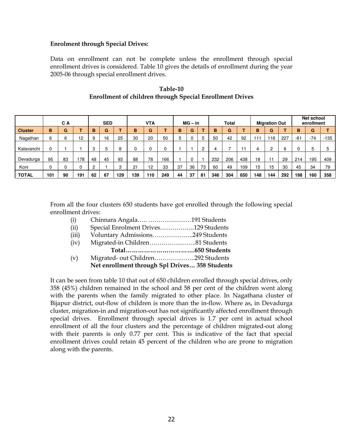#### Enrolment through Special Drives:

Data on enrollment can not be complete unless the enrollment through special enrollment drives is considered. Table 10 gives the details of enrollment during the year 2005-06 through special enrollment drives.

|                | C A |    |     | <b>SED</b> |    | <b>VTA</b><br>$MG - in$ |          | <b>Total</b> |     |    | <b>Migration Out</b> |    | Net school<br>enrollment |     |     |     |     |     |       |       |     |
|----------------|-----|----|-----|------------|----|-------------------------|----------|--------------|-----|----|----------------------|----|--------------------------|-----|-----|-----|-----|-----|-------|-------|-----|
| <b>Cluster</b> | B   | G  |     | B          | G  |                         | в        | G            |     | B  | G                    |    | B                        | G   |     | в   | G   |     | B     | G     |     |
| Nagathan       | 6   | 6  | 12  | 9          | 16 | 25                      | 30       | 20           | 50  | 5  |                      | 5  | 50                       | 42  | 92  | 111 | 16  | 227 | $-61$ | $-74$ | 135 |
| Kalavanchi     |     |    |     | 3          | 5  | 8                       | $\Omega$ | 0            |     |    |                      | C  |                          |     | 11  | 4   | ົ   | 6   | 0     | 5     |     |
| Devadurga      | 95  | 83 | 178 | 48         | 45 | 93                      | 88       | 78           | 166 |    |                      |    | 232                      | 206 | 438 | 18  |     | 29  | 214   | 195   | 409 |
| Koni           |     |    |     | 2          |    | 3                       | 21       | 12           | 33  | 37 | 36                   | 73 | 60                       | 49  | 109 | 15  | 15  | 30  | 45    | 34    | 79  |
| <b>TOTAL</b>   | 101 | 90 | 191 | 62         | 67 | 129                     | 139      | 110          | 249 | 44 | 37                   | 81 | 346                      | 304 | 650 | 148 | 144 | 292 | 198   | 160   | 358 |

## Table-10 Enrollment of children through Special Enrollment Drives

From all the four clusters 650 students have got enrolled through the following special enrollment drives:

- (i) Chinnara Angala….. …………………191 Students
- (ii) Special Enrolment Drives……………..129 Students
- (iii) Voluntary Admissions………………..249 Students
- (iv) Migrated-in Children…………………..81 Students Total…………………………….650 Students
- (v) Migrated- out Children………………..292 Students Net enrollment through Spl Drives… 358 Students

It can be seen from table 10 that out of 650 children enrolled through special drives, only 358 (45%) children remained in the school and 58 per cent of the children went along with the parents when the family migrated to other place. In Nagathana cluster of Bijapur district, out-flow of children is more than the in-flow. Where as, in Devadurga cluster, migration-in and migration-out has not significantly affected enrollment through special drives. Enrollment through special drives is 1.7 per cent in actual school enrollment of all the four clusters and the percentage of children migrated-out along with their parents is only 0.77 per cent. This is indicative of the fact that special enrollment drives could retain 45 percent of the children who are prone to migration along with the parents.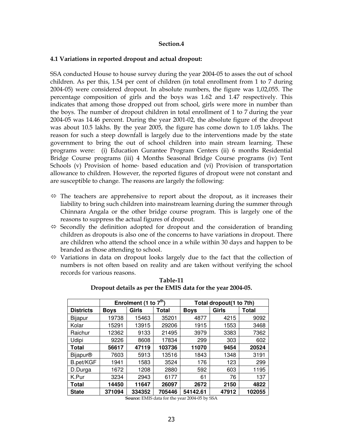#### Section.4

#### 4.1 Variations in reported dropout and actual dropout:

SSA conducted House to house survey during the year 2004-05 to asses the out of school children. As per this, 1.54 per cent of children (in total enrollment from 1 to 7 during 2004-05) were considered dropout. In absolute numbers, the figure was 1,02,055. The percentage composition of girls and the boys was 1.62 and 1.47 respectively. This indicates that among those dropped out from school, girls were more in number than the boys. The number of dropout children in total enrollment of 1 to 7 during the year 2004-05 was 14.46 percent. During the year 2001-02, the absolute figure of the dropout was about 10.5 lakhs. By the year 2005, the figure has come down to 1.05 lakhs. The reason for such a steep downfall is largely due to the interventions made by the state government to bring the out of school children into main stream learning. These programs were: (i) Education Gurantee Program Centers (ii) 6 months Residential Bridge Course programs (iii) 4 Months Seasonal Bridge Course programs (iv) Tent Schools (v) Provision of home- based education and (vi) Provision of transportation allowance to children. However, the reported figures of dropout were not constant and are susceptible to change. The reasons are largely the following:

- $\Leftrightarrow$  The teachers are apprehensive to report about the dropout, as it increases their liability to bring such children into mainstream learning during the summer through Chinnara Angala or the other bridge course program. This is largely one of the reasons to suppress the actual figures of dropout.
- $\Leftrightarrow$  Secondly the definition adopted for dropout and the consideration of branding children as dropouts is also one of the concerns to have variations in dropout. There are children who attend the school once in a while within 30 days and happen to be branded as those attending to school.
- $\Leftrightarrow$  Variations in data on dropout looks largely due to the fact that the collection of numbers is not often based on reality and are taken without verifying the school records for various reasons.

|                            |             | Enrolment (1 to $7th$ ) |        |             | Total dropout(1 to 7th) |              |
|----------------------------|-------------|-------------------------|--------|-------------|-------------------------|--------------|
| <b>Districts</b>           | <b>Boys</b> | Girls                   | Total  | <b>Boys</b> | Girls                   | <b>Total</b> |
| Bijapur                    | 19738       | 15463                   | 35201  | 4877        | 4215                    | 9092         |
| Kolar                      | 15291       | 13915                   | 29206  | 1915        | 1553                    | 3468         |
| Raichur                    | 12362       | 9133                    | 21495  | 3979        | 3383                    | 7362         |
| Udipi                      | 9226        | 8608                    | 17834  | 299         | 303                     | 602          |
| Total                      | 56617       | 47119                   | 103736 | 11070       | 9454                    | 20524        |
| <b>Bijapur<sup>®</sup></b> | 7603        | 5913                    | 13516  | 1843        | 1348                    | 3191         |
| B.pet/KGF                  | 1941        | 1583                    | 3524   | 176         | 123                     | 299          |
| D.Durga                    | 1672        | 1208                    | 2880   | 592         | 603                     | 1195         |
| K.Pur                      | 3234        | 2943                    | 6177   | 61          | 76                      | 137          |
| Total                      | 14450       | 11647                   | 26097  | 2672        | 2150                    | 4822         |
| <b>State</b>               | 371094      | 334352                  | 705446 | 54142.61    | 47912                   | 102055       |

Table-11 Dropout details as per the EMIS data for the year 2004-05.

Source: EMIS data for the year 2004-05 by SSA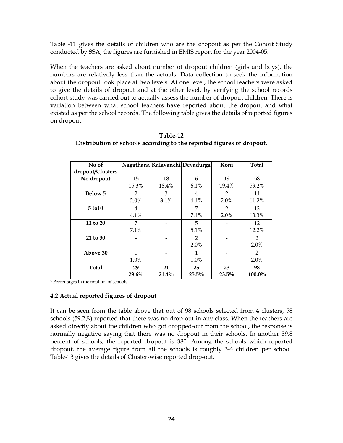Table -11 gives the details of children who are the dropout as per the Cohort Study conducted by SSA, the figures are furnished in EMIS report for the year 2004-05.

When the teachers are asked about number of dropout children (girls and boys), the numbers are relatively less than the actuals. Data collection to seek the information about the dropout took place at two levels. At one level, the school teachers were asked to give the details of dropout and at the other level, by verifying the school records cohort study was carried out to actually assess the number of dropout children. There is variation between what school teachers have reported about the dropout and what existed as per the school records. The following table gives the details of reported figures on dropout.

| No of            |              |       | Nagathana Kalavanchi Devadurga | Koni           | <b>Total</b>   |
|------------------|--------------|-------|--------------------------------|----------------|----------------|
| dropout/Clusters |              |       |                                |                |                |
| No dropout       | 15           | 18    | 6                              | 19             | 58             |
|                  | 15.3%        | 18.4% | 6.1%                           | 19.4%          | 59.2%          |
| <b>Below 5</b>   | 2            | 3     | 4                              | $\overline{2}$ | 11             |
|                  | 2.0%         | 3.1%  | 4.1%                           | 2.0%           | 11.2%          |
| 5 to 10          | 4            |       | 7                              | $\mathfrak{D}$ | 13             |
|                  | 4.1%         |       | 7.1%                           | 2.0%           | 13.3%          |
| 11 to 20         | 7            |       | 5                              |                | 12             |
|                  | 7.1%         |       | 5.1%                           |                | 12.2%          |
| 21 to 30         |              |       | $\mathcal{L}$                  |                | $\overline{2}$ |
|                  |              |       | 2.0%                           |                | 2.0%           |
| Above 30         | $\mathbf{1}$ |       | 1                              |                | $\mathcal{L}$  |
|                  | 1.0%         |       | 1.0%                           |                | 2.0%           |
| <b>Total</b>     | 29           | 21    | 25                             | 23             | 98             |
|                  | 29.6%        | 21.4% | 25.5%                          | 23.5%          | 100.0%         |

| Table-12                                                              |
|-----------------------------------------------------------------------|
| Distribution of schools according to the reported figures of dropout. |

\* Percentages in the total no. of schools

## 4.2 Actual reported figures of dropout

It can be seen from the table above that out of 98 schools selected from 4 clusters, 58 schools (59.2%) reported that there was no drop-out in any class. When the teachers are asked directly about the children who got dropped-out from the school, the response is normally negative saying that there was no dropout in their schools. In another 39.8 percent of schools, the reported dropout is 380. Among the schools which reported dropout, the average figure from all the schools is roughly 3-4 children per school. Table-13 gives the details of Cluster-wise reported drop-out.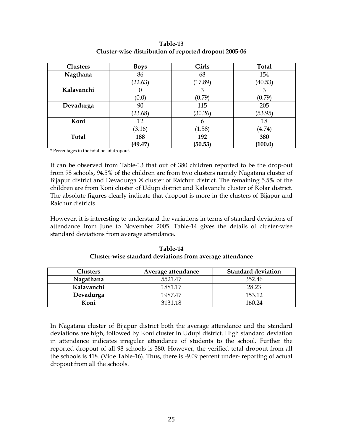Table-13 Cluster-wise distribution of reported dropout 2005-06

| <b>Clusters</b> | <b>Boys</b> | <b>Girls</b> | <b>Total</b> |
|-----------------|-------------|--------------|--------------|
| Nagthana        | 86          | 68           | 154          |
|                 | (22.63)     | (17.89)      | (40.53)      |
| Kalavanchi      | U           | 3            | 3            |
|                 | (0.0)       | (0.79)       | (0.79)       |
| Devadurga       | 90          | 115          | 205          |
|                 | (23.68)     | (30.26)      | (53.95)      |
| Koni            | 12          | 6            | 18           |
|                 | (3.16)      | (1.58)       | (4.74)       |
| <b>Total</b>    | 188         | 192          | 380          |
|                 | (49.47)     | (50.53)      | (100.0)      |

\* Percentages in the total no. of dropout.

It can be observed from Table-13 that out of 380 children reported to be the drop-out from 98 schools, 94.5% of the children are from two clusters namely Nagatana cluster of Bijapur district and Devadurga ® cluster of Raichur district. The remaining 5.5% of the children are from Koni cluster of Udupi district and Kalavanchi cluster of Kolar district. The absolute figures clearly indicate that dropout is more in the clusters of Bijapur and Raichur districts.

However, it is interesting to understand the variations in terms of standard deviations of attendance from June to November 2005. Table-14 gives the details of cluster-wise standard deviations from average attendance.

| Clusters   | Average attendance | <b>Standard deviation</b> |
|------------|--------------------|---------------------------|
| Nagathana  | 5521.47            | 352.46                    |
| Kalavanchi | 1881 17            | 28.23                     |
| Devadurga  | 1987.47            | 153 12                    |
| Koni       | 3131 18            | 160 24                    |

Table-14 Cluster-wise standard deviations from average attendance

In Nagatana cluster of Bijapur district both the average attendance and the standard deviations are high, followed by Koni cluster in Udupi district. High standard deviation in attendance indicates irregular attendance of students to the school. Further the reported dropout of all 98 schools is 380. However, the verified total dropout from all the schools is 418. (Vide Table-16). Thus, there is -9.09 percent under- reporting of actual dropout from all the schools.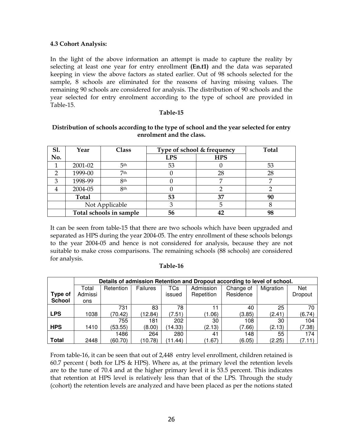#### 4.3 Cohort Analysis:

In the light of the above information an attempt is made to capture the reality by selecting at least one year for entry enrollment (En.t1) and the data was separated keeping in view the above factors as stated earlier. Out of 98 schools selected for the sample, 8 schools are eliminated for the reasons of having missing values. The remaining 90 schools are considered for analysis. The distribution of 90 schools and the year selected for entry enrolment according to the type of school are provided in Table-15.

#### Table-15

| <b>S1.</b> | Year         | Class                   |            | Type of school & frequency | <b>Total</b> |
|------------|--------------|-------------------------|------------|----------------------------|--------------|
| No.        |              |                         | <b>LPS</b> | <b>HPS</b>                 |              |
|            | 2001-02      | 5 <sup>th</sup>         | 53         | U                          | 53           |
| っ          | 1999-00      | 7 <sub>th</sub>         |            | 28                         | 28           |
| 3          | 1998-99      | <b>8th</b>              |            | ┍                          |              |
| 4          | 2004-05      | <b>8th</b>              |            |                            |              |
|            | <b>Total</b> |                         | 53         | 37                         | 90           |
|            |              | Not Applicable          | З          | 5                          |              |
|            |              | Total schools in sample | 56         |                            | 98           |

#### Distribution of schools according to the type of school and the year selected for entry enrolment and the class.

It can be seen from table-15 that there are two schools which have been upgraded and separated as HPS during the year 2004-05. The entry enrollment of these schools belongs to the year 2004-05 and hence is not considered for analysis, because they are not suitable to make cross comparisons. The remaining schools (88 schools) are considered for analysis.

## Table-16

|                |         | Details of admission Retention and Dropout according to level of school. |          |            |            |           |           |         |  |  |  |  |  |  |  |
|----------------|---------|--------------------------------------------------------------------------|----------|------------|------------|-----------|-----------|---------|--|--|--|--|--|--|--|
|                | Total   | Retention                                                                | Failures | TCs        | Admission  | Change of | Migration | Net     |  |  |  |  |  |  |  |
| <b>Type of</b> | Admissi |                                                                          |          | issued     | Repetition | Residence |           | Dropout |  |  |  |  |  |  |  |
| <b>School</b>  | ons     |                                                                          |          |            |            |           |           |         |  |  |  |  |  |  |  |
|                |         | 731                                                                      | 83       | 78         | 11         | 40        | 25        | 70      |  |  |  |  |  |  |  |
| LPS            | 1038    | (70.42)                                                                  | (12.84)  | (7.51)     | (1.06)     | (3.85)    | (2.41)    | (6.74)  |  |  |  |  |  |  |  |
|                |         | 755                                                                      | 181      | 202        | 30         | 108       | 30        | 104     |  |  |  |  |  |  |  |
| <b>HPS</b>     | 1410    | (53.55)                                                                  | (8.00)   | (14.33)    | (2.13)     | (7.66)    | (2.13)    | (7.38)  |  |  |  |  |  |  |  |
|                |         | 1486                                                                     | 264      | 280        | 41         | 148       | 55        | 174     |  |  |  |  |  |  |  |
| Total          | 2448    | (60.70)                                                                  | (10.78)  | .44)<br>11 | (1.67)     | (6.05)    | (2.25)    | (7.11)  |  |  |  |  |  |  |  |

From table-16, it can be seen that out of 2,448 entry level enrollment, children retained is 60.7 percent ( both for LPS & HPS). Where as, at the primary level the retention levels are to the tune of 70.4 and at the higher primary level it is 53.5 percent. This indicates that retention at HPS level is relatively less than that of the LPS. Through the study (cohort) the retention levels are analyzed and have been placed as per the notions stated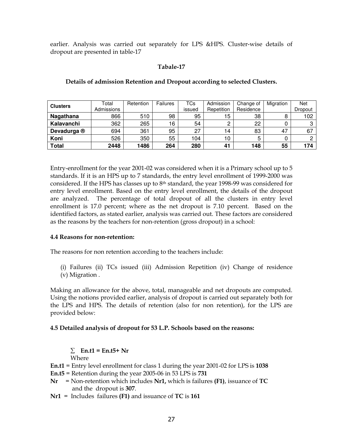earlier. Analysis was carried out separately for LPS &HPS. Cluster-wise details of dropout are presented in table-17

#### Tabale-17

| <b>Clusters</b> | Total      | Retention | Failures | TCs    | Admission  | Change of | Migration | Net     |
|-----------------|------------|-----------|----------|--------|------------|-----------|-----------|---------|
|                 | Admissions |           |          | issued | Repetition | Residence |           | Dropout |
| Nagathana       | 866        | 510       | 98       | 95     | 5          | 38        | 8         | 102     |
| Kalavanchi      | 362        | 265       | 16       | 54     | ∩<br>ے     | 22        |           |         |
| Devadurga ®     | 694        | 361       | 95       | 27     | ۱4         | 83        | 47        | 67      |
| Koni            | 526        | 350       | 55       | 104    | 10         | 5         |           |         |
| <b>Total</b>    | 2448       | 1486      | 264      | 280    | 41         | 148       | 55        | 174     |

#### Details of admission Retention and Dropout according to selected Clusters.

Entry-enrollment for the year 2001-02 was considered when it is a Primary school up to 5 standards. If it is an HPS up to 7 standards, the entry level enrollment of 1999-2000 was considered. If the HPS has classes up to 8th standard, the year 1998-99 was considered for entry level enrollment. Based on the entry level enrollment, the details of the dropout are analyzed. The percentage of total dropout of all the clusters in entry level enrollment is 17.0 percent; where as the net dropout is 7.10 percent. Based on the identified factors, as stated earlier, analysis was carried out. These factors are considered as the reasons by the teachers for non-retention (gross dropout) in a school:

#### 4.4 Reasons for non-retention:

The reasons for non retention according to the teachers include:

(i) Failures (ii) TCs issued (iii) Admission Repetition (iv) Change of residence (v) Migration .

Making an allowance for the above, total, manageable and net dropouts are computed. Using the notions provided earlier, analysis of dropout is carried out separately both for the LPS and HPS. The details of retention (also for non retention), for the LPS are provided below:

#### 4.5 Detailed analysis of dropout for 53 L.P. Schools based on the reasons:

 $\Sigma$  En.t1 = En.t5+ Nr

Where

- En.t1 = Entry level enrollment for class 1 during the year 2001-02 for LPS is 1038
- $En.t5 = Retention during the year 2005-06 in 53 LPS is 731$
- $Nr = Non-retention which includes  $Nr1$ , which is failures (F1), is suance of TC$ and the dropout is 307.
- $Nr1 =$  Includes failures  $(F1)$  and issuance of TC is 161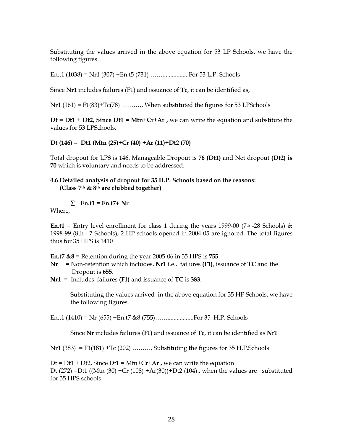Substituting the values arrived in the above equation for 53 LP Schools, we have the following figures.

En.t1 (1038) = Nr1 (307) +En.t5 (731) …….................For 53 L.P. Schools

Since Nr1 includes failures (F1) and issuance of Tc, it can be identified as,

 $Nr1$  (161) = F1(83)+T $c(78)$  ………, When substituted the figures for 53 LPSchools

 $Dt = Dt1 + Dt2$ , Since  $Dt1 = Mtn + Cr+Ar$ , we can write the equation and substitute the values for 53 LPSchools.

#### Dt (146) = Dt1 (Mtn (25)+Cr (40) +Ar (11)+Dt2 (70)

Total dropout for LPS is 146. Manageable Dropout is 76 (Dt1) and Net dropout (Dt2) is 70 which is voluntary and needs to be addressed.

#### 4.6 Detailed analysis of dropout for 35 H.P. Schools based on the reasons: (Class 7th & 8th are clubbed together)

 $\Sigma$  En.t1 = En.t7+ Nr

Where,

**En.t1** = Entry level enrollment for class 1 during the years 1999-00 (7th -28 Schools) & 1998-99 (8th - 7 Schools), 2 HP schools opened in 2004-05 are ignored. The total figures thus for 35 HPS is 1410

**En.t7 &8** = Retention during the year 2005-06 in 35 HPS is  $755$ 

- $Nr = Non-retention which includes, Nr1 i.e., failures (F1), is the same of TC and the$ Dropout is 655.
- $Nr1 =$  Includes failures  $(F1)$  and issuance of TC is 383.

Substituting the values arrived in the above equation for 35 HP Schools, we have the following figures.

En.t1 (1410) = Nr (655) +En.t7 &8 (755)…….................For 35 H.P. Schools

Since Nr includes failures (F1) and issuance of Tc, it can be identified as Nr1

 $Nr1$  (383) = F1(181) +Tc (202) ........., Substituting the figures for 35 H.P. Schools

 $Dt = Dt1 + Dt2$ , Since  $Dt1 = Mtn + Cr + Ar$ , we can write the equation Dt (272) =Dt1 ((Mtn (30) +Cr (108) +Ar(30))+Dt2 (104).. when the values are substituted for 35 HPS schools.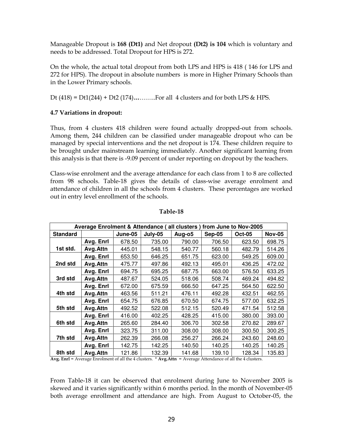Manageable Dropout is 168 (Dt1) and Net dropout (Dt2) is 104 which is voluntary and needs to be addressed. Total Dropout for HPS is 272.

On the whole, the actual total dropout from both LPS and HPS is 418 ( 146 for LPS and 272 for HPS). The dropout in absolute numbers is more in Higher Primary Schools than in the Lower Primary schools.

Dt  $(418) = Dt1(244) + Dt2(174)$ ………...For all 4 clusters and for both LPS & HPS.

## 4.7 Variations in dropout:

Thus, from 4 clusters 418 children were found actually dropped-out from schools. Among them, 244 children can be classified under manageable dropout who can be managed by special interventions and the net dropout is 174. These children require to be brought under mainstream learning immediately. Another significant learning from this analysis is that there is -9.09 percent of under reporting on dropout by the teachers.

Class-wise enrolment and the average attendance for each class from 1 to 8 are collected from 98 schools. Table-18 gives the details of class-wise average enrolment and attendance of children in all the schools from 4 clusters. These percentages are worked out in entry level enrollment of the schools.

|                 | Average Enrolment & Attendance (all clusters) |         |         |        |          | from June to Nov-2005 |               |
|-----------------|-----------------------------------------------|---------|---------|--------|----------|-----------------------|---------------|
| <b>Standard</b> |                                               | June-05 | July-05 | Aug-o5 | $Sep-05$ | <b>Oct-05</b>         | <b>Nov-05</b> |
|                 | Avg. Enrl                                     | 678.50  | 735.00  | 790.00 | 706.50   | 623.50                | 698.75        |
| 1st std.        | Avg.Attn                                      | 445.01  | 548.15  | 540.77 | 560.18   | 482.79                | 514.26        |
|                 | Avg. Enrl                                     | 653.50  | 646.25  | 651.75 | 623.00   | 549.25                | 609.00        |
| 2nd std         | Avg. Attn                                     | 475.77  | 497.86  | 492.13 | 495.01   | 436.25                | 472.02        |
|                 | Avg. Enrl                                     | 694.75  | 695.25  | 687.75 | 663.00   | 576.50                | 633.25        |
| 3rd std         | Avg. Attn                                     | 487.67  | 524.05  | 518.06 | 508.74   | 469.24                | 494.82        |
|                 | Avg. Enrl                                     | 672.00  | 675.59  | 666.50 | 647.25   | 564.50                | 622.50        |
| 4th std         | Avg.Attn                                      | 463.56  | 511.21  | 476.11 | 492.28   | 432.51                | 462.55        |
|                 | Avg. Enrl                                     | 654.75  | 676.85  | 670.50 | 674.75   | 577.00                | 632.25        |
| 5th std         | Avg.Attn                                      | 492.52  | 522.08  | 512.15 | 520.49   | 471.54                | 512.58        |
|                 | Avg. Enrl                                     | 416.00  | 402.25  | 428.25 | 415.00   | 380.00                | 393.00        |
| 6th std         | Avg.Attn                                      | 265.60  | 284.40  | 306.70 | 302.58   | 270.82                | 289.67        |
|                 | Avg. Enrl                                     | 323.75  | 311.00  | 308.00 | 308.00   | 300.50                | 300.25        |
| 7th std         | Avg.Attn                                      | 262.39  | 266.08  | 256.27 | 266.24   | 243.60                | 248.60        |
|                 | Avg. Enrl                                     | 142.75  | 142.25  | 140.50 | 140.25   | 140.25                | 140.25        |
| 8th std         | Avg.Attn                                      | 121.86  | 132.39  | 141.68 | 139.10   | 128.34                | 135.83        |

#### Table-18

Avg. Enrl = Average Enrolment of all the 4 clusters. \* Avg. Attn = Average Attendance of all the 4 clusters.

From Table-18 it can be observed that enrolment during June to November 2005 is skewed and it varies significantly within 6 months period. In the month of November-05 both average enrollment and attendance are high. From August to October-05, the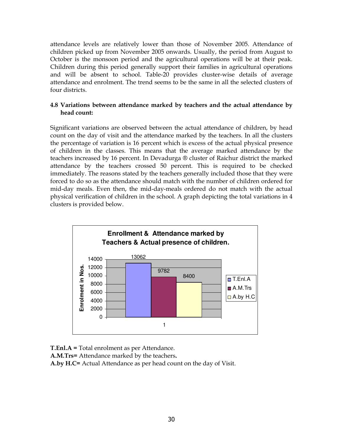attendance levels are relatively lower than those of November 2005. Attendance of children picked up from November 2005 onwards. Usually, the period from August to October is the monsoon period and the agricultural operations will be at their peak. Children during this period generally support their families in agricultural operations and will be absent to school. Table-20 provides cluster-wise details of average attendance and enrolment. The trend seems to be the same in all the selected clusters of four districts.

## 4.8 Variations between attendance marked by teachers and the actual attendance by head count:

Significant variations are observed between the actual attendance of children, by head count on the day of visit and the attendance marked by the teachers. In all the clusters the percentage of variation is 16 percent which is excess of the actual physical presence of children in the classes. This means that the average marked attendance by the teachers increased by 16 percent. In Devadurga ® cluster of Raichur district the marked attendance by the teachers crossed 50 percent. This is required to be checked immediately. The reasons stated by the teachers generally included those that they were forced to do so as the attendance should match with the number of children ordered for mid-day meals. Even then, the mid-day-meals ordered do not match with the actual physical verification of children in the school. A graph depicting the total variations in 4 clusters is provided below.



T.Enl.A = Total enrolment as per Attendance.

A.M.Trs= Attendance marked by the teachers.

A.by H.C= Actual Attendance as per head count on the day of Visit.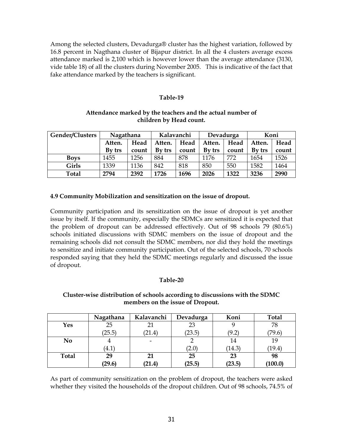Among the selected clusters, Devadurga® cluster has the highest variation, followed by 16.8 percent in Nagthana cluster of Bijapur district. In all the 4 clusters average excess attendance marked is 2,100 which is however lower than the average attendance (3130, vide table 18) of all the clusters during November 2005. This is indicative of the fact that fake attendance marked by the teachers is significant.

#### Table-19

## Attendance marked by the teachers and the actual number of children by Head count.

| Gender/Clusters | Nagathana |       | Kalavanchi |       | Devadurga |       | Koni   |       |
|-----------------|-----------|-------|------------|-------|-----------|-------|--------|-------|
|                 | Atten.    | Head  | Atten.     | Head  | Atten.    | Head  | Atten. | Head  |
|                 | By trs    | count | By trs     | count | By trs    | count | By trs | count |
| <b>Boys</b>     | 1455      | 1256  | 884        | 878   | 1176      | 772   | 1654   | 1526  |
| Girls           | 1339      | 1136  | 842        | 818   | 850       | 550   | 1582   | 1464  |
| Total           | 2794      | 2392  | 1726       | 1696  | 2026      | 1322  | 3236   | 2990  |

#### 4.9 Community Mobilization and sensitization on the issue of dropout.

Community participation and its sensitization on the issue of dropout is yet another issue by itself. If the community, especially the SDMCs are sensitized it is expected that the problem of dropout can be addressed effectively. Out of 98 schools 79 (80.6%) schools initiated discussions with SDMC members on the issue of dropout and the remaining schools did not consult the SDMC members, nor did they hold the meetings to sensitize and initiate community participation. Out of the selected schools, 70 schools responded saying that they held the SDMC meetings regularly and discussed the issue of dropout.

## Table-20

#### Cluster-wise distribution of schools according to discussions with the SDMC members on the issue of Dropout.

|              | Nagathana | Kalavanchi | Devadurga | Koni   | <b>Total</b> |
|--------------|-----------|------------|-----------|--------|--------------|
| Yes          | 25        |            | 23        |        | 78           |
|              | (25.5)    | (21.4)     | (23.5)    | (9.2)  | (79.6)       |
| No           | 4         |            |           | 14     | 19           |
|              | (4.1)     |            | (2.0)     | (14.3) | (19.4)       |
| <b>Total</b> | 29        | 21         | 25        | 23     | 98           |
|              | (29.6)    | (21.4)     | (25.5)    | (23.5) | (100.0)      |

As part of community sensitization on the problem of dropout, the teachers were asked whether they visited the households of the dropout children. Out of 98 schools, 74.5% of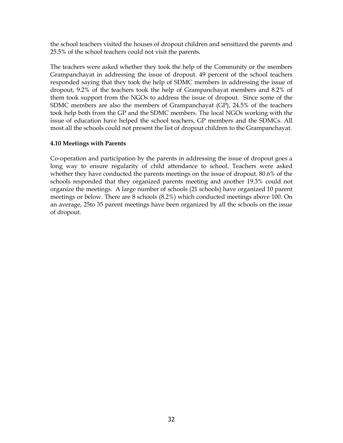the school teachers visited the houses of dropout children and sensitized the parents and 25.5% of the school teachers could not visit the parents.

The teachers were asked whether they took the help of the Community or the members Grampanchayat in addressing the issue of dropout. 49 percent of the school teachers responded saying that they took the help of SDMC members in addressing the issue of dropout, 9.2% of the teachers took the help of Grampanchayat members and 8.2% of them took support from the NGOs to address the issue of dropout. Since some of the SDMC members are also the members of Grampanchayat (GP), 24.5% of the teachers took help both from the GP and the SDMC members. The local NGOs working with the issue of education have helped the school teachers, GP members and the SDMCs. All most all the schools could not present the list of dropout children to the Grampanchayat.

## 4.10 Meetings with Parents

Co-operation and participation by the parents in addressing the issue of dropout goes a long way to ensure regularity of child attendance to school. Teachers were asked whether they have conducted the parents meetings on the issue of dropout. 80.6% of the schools responded that they organized parents meeting and another 19.3% could not organize the meetings. A large number of schools (21 schools) have organized 10 parent meetings or below. There are 8 schools (8.2%) which conducted meetings above 100. On an average, 25to 35 parent meetings have been organized by all the schools on the issue of dropout.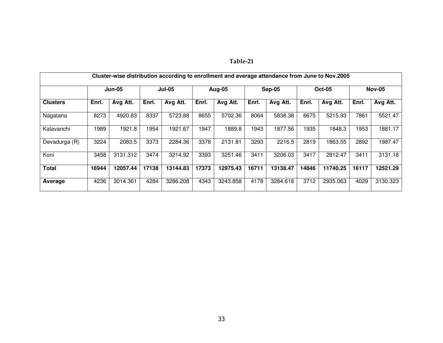|--|

|                 | Cluster-wise distribution according to enrollment and average attendance from June to Nov.2005 |               |       |               |       |          |       |          |       |               |       |               |  |
|-----------------|------------------------------------------------------------------------------------------------|---------------|-------|---------------|-------|----------|-------|----------|-------|---------------|-------|---------------|--|
|                 |                                                                                                | <b>Jun-05</b> |       | <b>Jul-05</b> |       | Aug-05   |       | Sep-05   |       | <b>Oct-05</b> |       | <b>Nov-05</b> |  |
| <b>Clusters</b> | Enrl.                                                                                          | Avg Att.      | Enrl. | Avg Att.      | Enrl. | Avg Att. | Enrl. | Avg Att. | Enrl. | Avg Att.      | Enrl. | Avg Att.      |  |
| Nagatana        | 8273                                                                                           | 4920.83       | 8337  | 5723.88       | 8655  | 5702.36  | 8064  | 5838.38  | 6675  | 5215.93       | 7861  | 5521.47       |  |
| Kalavanchi      | 1989                                                                                           | 1921.8        | 1954  | 1921.67       | 1947  | 1889.8   | 1943  | 1877.56  | 1935  | 1848.3        | 1953  | 1881.17       |  |
| Devadurga (R)   | 3224                                                                                           | 2083.5        | 3373  | 2284.36       | 3378  | 2131.81  | 3293  | 2216.5   | 2819  | 1863.55       | 2892  | 1987.47       |  |
| Koni            | 3458                                                                                           | 3131.312      | 3474  | 3214.92       | 3393  | 3251.46  | 3411  | 3206.03  | 3417  | 2812.47       | 3411  | 3131.18       |  |
| <b>Total</b>    | 16944                                                                                          | 12057.44      | 17138 | 13144.83      | 17373 | 12975.43 | 16711 | 13138.47 | 14846 | 11740.25      | 16117 | 12521.29      |  |
| Average         | 4236                                                                                           | 3014.361      | 4284  | 3286.208      | 4343  | 3243.858 | 4178  | 3284.618 | 3712  | 2935.063      | 4029  | 3130.323      |  |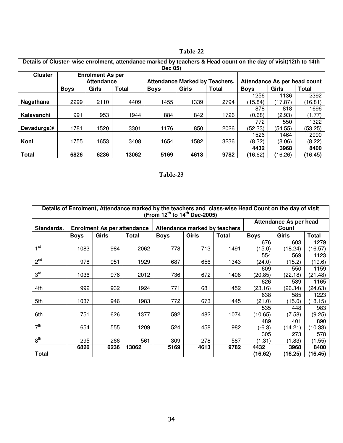| Details of Cluster- wise enrolment, attendance marked by teachers & Head count on the day of visit(12th to 14th<br>Dec 05) |                                              |       |       |                                       |       |              |                              |         |         |
|----------------------------------------------------------------------------------------------------------------------------|----------------------------------------------|-------|-------|---------------------------------------|-------|--------------|------------------------------|---------|---------|
| <b>Cluster</b>                                                                                                             | <b>Enrolment As per</b><br><b>Attendance</b> |       |       | <b>Attendance Marked by Teachers.</b> |       |              | Attendance As per head count |         |         |
|                                                                                                                            | <b>Boys</b>                                  | Girls | Total | <b>Boys</b>                           | Girls | <b>Total</b> | <b>Boys</b>                  | Girls   | Total   |
|                                                                                                                            |                                              |       |       |                                       |       |              | 1256                         | 1136    | 2392    |
| Nagathana                                                                                                                  | 2299                                         | 2110  | 4409  | 1455                                  | 1339  | 2794         | (15.84)                      | (17.87) | (16.81) |
|                                                                                                                            |                                              |       |       |                                       |       |              | 878                          | 818     | 1696    |
| Kalavanchi                                                                                                                 | 991                                          | 953   | 1944  | 884                                   | 842   | 1726         | (0.68)                       | (2.93)  | (1.77)  |
|                                                                                                                            |                                              |       |       |                                       |       |              | 772                          | 550     | 1322    |
| Devadurga®                                                                                                                 | 1781                                         | 1520  | 3301  | 1176                                  | 850   | 2026         | (52.33)                      | (54.55) | (53.25) |
|                                                                                                                            |                                              |       |       |                                       |       |              | 1526                         | 1464    | 2990    |
| Koni                                                                                                                       | 1755                                         | 1653  | 3408  | 1654                                  | 1582  | 3236         | (8.32)                       | (8.06)  | (8.22)  |
|                                                                                                                            |                                              |       |       |                                       |       |              | 4432                         | 3968    | 8400    |
| <b>Total</b>                                                                                                               | 6826                                         | 6236  | 13062 | 5169                                  | 4613  | 9782         | (16.62)                      | (16.26) | (16.45) |

## Table-22

## Table-23

|                 | Details of Enrolment, Attendance marked by the teachers and class-wise Head Count on the day of visit<br>(From $12^{th}$ to $14^{th}$ Dec-2005) |                                                               |              |                                      |                               |      |             |                               |         |  |  |
|-----------------|-------------------------------------------------------------------------------------------------------------------------------------------------|---------------------------------------------------------------|--------------|--------------------------------------|-------------------------------|------|-------------|-------------------------------|---------|--|--|
|                 |                                                                                                                                                 |                                                               |              |                                      |                               |      |             | <b>Attendance As per head</b> |         |  |  |
| Standards.      |                                                                                                                                                 | <b>Enrolment As per attendance</b>                            |              |                                      | Attendance marked by teachers |      |             | Count                         |         |  |  |
|                 | <b>Boys</b>                                                                                                                                     | Girls                                                         | <b>Total</b> | Girls<br><b>Total</b><br><b>Boys</b> |                               |      | <b>Boys</b> | <b>Girls</b>                  | Total   |  |  |
|                 |                                                                                                                                                 |                                                               |              |                                      |                               |      | 676         | 603                           | 1279    |  |  |
| 1 <sup>st</sup> | 1083                                                                                                                                            | 984                                                           | 2062         | 778                                  | 713                           | 1491 | (15.0)      | (18.24)                       | (16.57) |  |  |
|                 |                                                                                                                                                 |                                                               |              |                                      |                               |      | 554         | 569                           | 1123    |  |  |
| $2^{nd}$        | 978                                                                                                                                             | 951                                                           | 1929         | 687                                  | 656                           | 1343 | (24.0)      | (15.2)                        | (19.6)  |  |  |
|                 |                                                                                                                                                 |                                                               |              |                                      |                               |      | 609         | 550                           | 1159    |  |  |
| 3 <sup>rd</sup> | 1036                                                                                                                                            | 976                                                           | 2012         | 736                                  | 672                           | 1408 | (20.85)     | (22.18)                       | (21.48) |  |  |
|                 |                                                                                                                                                 |                                                               |              |                                      |                               |      | 626         | 539                           | 1165    |  |  |
| 4th             | 992                                                                                                                                             | 932                                                           | 1924         | 771                                  | 681                           | 1452 | (23.16)     | (26.34)                       | (24.63) |  |  |
|                 |                                                                                                                                                 |                                                               |              |                                      |                               |      | 638         | 585                           | 1223    |  |  |
| 5th             | 1037                                                                                                                                            | 946                                                           | 1983         | 772                                  | 673                           | 1445 | (21.0)      | (15.0)                        | (18.15) |  |  |
|                 |                                                                                                                                                 |                                                               |              |                                      |                               |      | 535         | 448                           | 983     |  |  |
| 6th             | 751                                                                                                                                             | 626                                                           | 1377         | 592                                  | 482                           | 1074 | (10.65)     | (7.58)                        | (9.25)  |  |  |
|                 |                                                                                                                                                 |                                                               |              |                                      |                               |      | 489         | 401                           | 890     |  |  |
| 7 <sup>th</sup> | 654                                                                                                                                             | 555                                                           | 1209         | 524                                  | 458                           | 982  | $(-6.3)$    | (14.21)                       | (10.33) |  |  |
|                 |                                                                                                                                                 |                                                               |              |                                      |                               |      | 305         | 273                           | 578     |  |  |
| $8^{\text{th}}$ | 295                                                                                                                                             | 266                                                           | 561          | 309                                  | 278                           | 587  | (1.31)      | (1.83)                        | (1.55)  |  |  |
|                 | 6826                                                                                                                                            | 13062<br>6236<br>5169<br>4613<br>9782<br>3968<br>8400<br>4432 |              |                                      |                               |      |             |                               |         |  |  |
| <b>Total</b>    |                                                                                                                                                 |                                                               |              |                                      |                               |      | (16.62)     | (16.25)                       | (16.45) |  |  |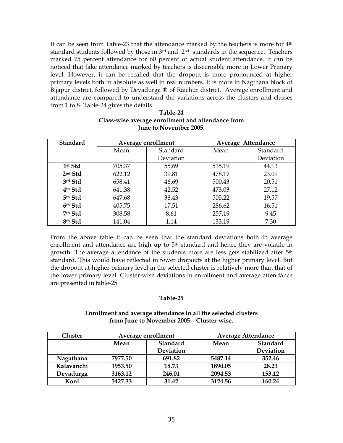It can be seen from Table-23 that the attendance marked by the teachers is more for  $4<sup>th</sup>$ standard students followed by those in 3<sup>rd</sup> and 2<sup>nd</sup> standards in the sequence. Teachers marked 75 percent attendance for 60 percent of actual student attendance. It can be noticed that fake attendance marked by teachers is discernable more in Lower Primary level. However, it can be recalled that the dropout is more pronounced at higher primary levels both in absolute as well in real numbers. It is more in Nagthana block of Bijapur district, followed by Devadurga ® of Raichur district. Average enrollment and attendance are compared to understand the variations across the clusters and classes from 1 to 8. Table-24 gives the details.

| <b>Standard</b>     | Average enrollment |           | Average Attendance |           |  |
|---------------------|--------------------|-----------|--------------------|-----------|--|
|                     | Mean               | Standard  | Mean               | Standard  |  |
|                     |                    | Deviation |                    | Deviation |  |
| 1st Std             | 705.37             | 55.69     | 515.19             | 44.13     |  |
| 2nd Std             | 622.12             | 39.81     | 478.17             | 23.09     |  |
| 3rd Std             | 658.41             | 46.69     | 500.43             | 20.51     |  |
| 4 <sup>th</sup> Std | 641.38             | 42.52     | 473.03             | 27.12     |  |
| 5th Std             | 647.68             | 38.43     | 505.22             | 19.57     |  |
| 6th Std             | 405.75             | 17.51     | 286.62             | 16.51     |  |
| 7th Std             | 308.58             | 8.61      | 257.19             | 9.45      |  |
| 8th Std             | 141.04             | 1.14      | 133.19             | 7.30      |  |

#### Table-24 Class-wise average enrollment and attendance from June to November 2005.

From the above table it can be seen that the standard deviations both in average enrollment and attendance are high up to 5<sup>th</sup> standard and hence they are volatile in growth. The average attendance of the students more are less gets stabilized after 5<sup>th</sup> standard. This would have reflected in fewer dropouts at the higher primary level. But the dropout at higher primary level in the selected cluster is relatively more than that of the lower primary level. Cluster-wise deviations in enrollment and average attendance are presented in table-25.

## Table-25

#### Enrollment and average attendance in all the selected clusters from June to November 2005 – Cluster-wise.

| Cluster    |         | Average enrollment | <b>Average Attendance</b> |                 |  |
|------------|---------|--------------------|---------------------------|-----------------|--|
|            | Mean    | <b>Standard</b>    | Mean                      | <b>Standard</b> |  |
|            |         | Deviation          |                           | Deviation       |  |
| Nagathana  | 7977.50 | 691.82             | 5487.14                   | 352.46          |  |
| Kalavanchi | 1953.50 | 18.73              | 1890.05                   | 28.23           |  |
| Devadurga  | 3163.12 | 246.01             | 2094.53                   | 153.12          |  |
| Koni       | 3427.33 | 31.42              | 3124.56                   | 160.24          |  |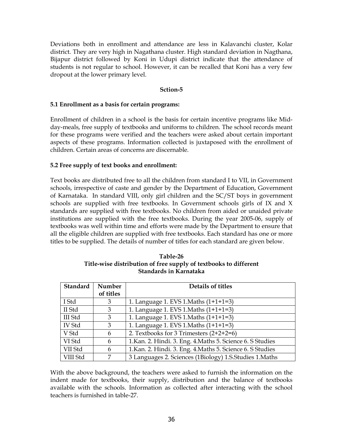Deviations both in enrollment and attendance are less in Kalavanchi cluster, Kolar district. They are very high in Nagathana cluster. High standard deviation in Nagthana, Bijapur district followed by Koni in Udupi district indicate that the attendance of students is not regular to school. However, it can be recalled that Koni has a very few dropout at the lower primary level.

#### Sction-5

#### 5.1 Enrollment as a basis for certain programs:

Enrollment of children in a school is the basis for certain incentive programs like Midday-meals, free supply of textbooks and uniforms to children. The school records meant for these programs were verified and the teachers were asked about certain important aspects of these programs. Information collected is juxtaposed with the enrollment of children. Certain areas of concerns are discernable.

#### 5.2 Free supply of text books and enrollment:

Text books are distributed free to all the children from standard I to VII, in Government schools, irrespective of caste and gender by the Department of Education, Government of Karnataka. In standard VIII, only girl children and the SC/ST boys in government schools are supplied with free textbooks. In Government schools girls of IX and X standards are supplied with free textbooks. No children from aided or unaided private institutions are supplied with the free textbooks. During the year 2005-06, supply of textbooks was well within time and efforts were made by the Department to ensure that all the eligible children are supplied with free textbooks. Each standard has one or more titles to be supplied. The details of number of titles for each standard are given below.

| Standard      | Number    | Details of titles                                          |
|---------------|-----------|------------------------------------------------------------|
|               | of titles |                                                            |
| I Std         | 3         | 1. Language 1. EVS 1. Maths (1+1+1=3)                      |
| II Std        | 3         | 1. Language 1. EVS 1. Maths (1+1+1=3)                      |
| III Std       | 3         | 1. Language 1. EVS 1. Maths (1+1+1=3)                      |
| <b>IV Std</b> | 3         | 1. Language 1. EVS 1. Maths (1+1+1=3)                      |
| V Std         | 6         | 2. Textbooks for 3 Trimesters $(2+2+2=6)$                  |
| VI Std        | 6         | 1. Kan. 2. Hindi. 3. Eng. 4. Maths 5. Science 6. S Studies |
| VII Std       | 6         | 1. Kan. 2. Hindi. 3. Eng. 4. Maths 5. Science 6. S Studies |
| VIII Std      | 7         | 3 Languages 2. Sciences (1Biology) 1.S.Studies 1.Maths     |

Table-26 Title-wise distribution of free supply of textbooks to different Standards in Karnataka

With the above background, the teachers were asked to furnish the information on the indent made for textbooks, their supply, distribution and the balance of textbooks available with the schools. Information as collected after interacting with the school teachers is furnished in table-27.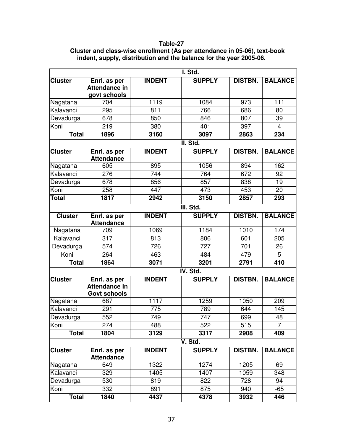#### **Table-27**

## **Cluster and class-wise enrollment (As per attendance in 05-06), text-book indent, supply, distribution and the balance for the year 2005-06.**

|                |                                                             |               | I. Std.       |                |                |  |  |  |
|----------------|-------------------------------------------------------------|---------------|---------------|----------------|----------------|--|--|--|
| <b>Cluster</b> | Enrl. as per<br><b>Attendance in</b><br>govt schools        | <b>INDENT</b> | <b>SUPPLY</b> | <b>DISTBN.</b> | <b>BALANCE</b> |  |  |  |
| Nagatana       | 704                                                         | 1119          | 1084          | 973            | 111            |  |  |  |
| Kalavanci      | 295                                                         | 811           | 766           | 686            | 80             |  |  |  |
| Devadurga      | 678                                                         | 850           | 846           | 807            | 39             |  |  |  |
| Koni           | 219                                                         | 380           | 401           | 397            | 4              |  |  |  |
| <b>Total</b>   | 1896                                                        | 3160          | 3097          | 2863           | 234            |  |  |  |
|                |                                                             |               | II. Std.      |                |                |  |  |  |
| <b>Cluster</b> | Enrl. as per<br><b>Attendance</b>                           | <b>INDENT</b> | <b>SUPPLY</b> | <b>DISTBN.</b> | <b>BALANCE</b> |  |  |  |
| Nagatana       | 605                                                         | 895           | 1056          | 894            | 162            |  |  |  |
| Kalavanci      | 276                                                         | 744           | 764           | 672            | 92             |  |  |  |
| Devadurga      | 678                                                         | 856           | 857           | 838            | 19             |  |  |  |
| Koni           | 258                                                         | 447           | 473           | 453            | 20             |  |  |  |
| Total          | 1817                                                        | 2942          | 3150          | 2857           | 293            |  |  |  |
|                | III. Std.                                                   |               |               |                |                |  |  |  |
| <b>Cluster</b> | Enrl. as per<br><b>Attendance</b>                           | <b>INDENT</b> | <b>SUPPLY</b> | <b>DISTBN.</b> | <b>BALANCE</b> |  |  |  |
| Nagatana       | 709                                                         | 1069          | 1184          | 1010           | 174            |  |  |  |
| Kalavanci      | 317                                                         | 813           | 806           | 601            | 205            |  |  |  |
| Devadurga      | 574                                                         | 726           | 727           | 701            | 26             |  |  |  |
| Koni           | 264                                                         | 463           | 484           | 479            | 5              |  |  |  |
| <b>Total</b>   | 1864                                                        | 3071          | 3201          | 2791           | 410            |  |  |  |
|                |                                                             |               | IV. Std.      |                |                |  |  |  |
| <b>Cluster</b> | Enrl. as per<br><b>Attendance In</b><br><b>Govt schools</b> | <b>INDENT</b> | <b>SUPPLY</b> | <b>DISTBN.</b> | <b>BALANCE</b> |  |  |  |
| Nagatana       | 687                                                         | 1117          | 1259          | 1050           | 209            |  |  |  |
| Kalavanci      | 291                                                         | 775           | 789           | 644            | 145            |  |  |  |
| Devadurga      | 552                                                         | 749           | 747           | 699            | 48             |  |  |  |
| Koni           | 274                                                         | 488           | 522           | 515            | 7              |  |  |  |
| <b>Total</b>   | 1804                                                        | 3129          | 3317          | 2908           | 409            |  |  |  |
|                |                                                             |               | V. Std.       |                |                |  |  |  |
| <b>Cluster</b> | Enrl. as per<br><b>Attendance</b>                           | <b>INDENT</b> | <b>SUPPLY</b> | <b>DISTBN.</b> | <b>BALANCE</b> |  |  |  |
| Nagatana       | 649                                                         | 1322          | 1274          | 1205           | 69             |  |  |  |
| Kalavanci      | 329                                                         | 1405          | 1407          | 1059           | 348            |  |  |  |
| Devadurga      | 530                                                         | 819           | 822           | 728            | 94             |  |  |  |
| Koni           | 332                                                         | 891           | 875           | 940            | $-65$          |  |  |  |
| <b>Total</b>   | 1840                                                        | 4437          | 4378          | 3932           | 446            |  |  |  |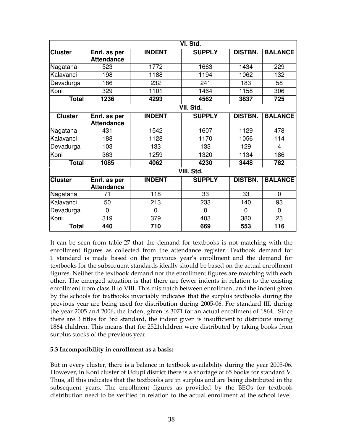|                | VI. Std.                          |               |               |                |                |  |  |
|----------------|-----------------------------------|---------------|---------------|----------------|----------------|--|--|
| <b>Cluster</b> | Enrl. as per<br><b>Attendance</b> | <b>INDENT</b> | <b>SUPPLY</b> | <b>DISTBN.</b> | <b>BALANCE</b> |  |  |
| Nagatana       | 523                               | 1772          | 1663          | 1434           | 229            |  |  |
| Kalavanci      | 198                               | 1188          | 1194          | 1062           | 132            |  |  |
| Devadurga      | 186                               | 232           | 241           | 183            | 58             |  |  |
| Koni           | 329                               | 1101          | 1464          | 1158           | 306            |  |  |
| Total          | 1236                              | 4293          | 4562          | 3837           | 725            |  |  |
|                |                                   |               | VII. Std.     |                |                |  |  |
| <b>Cluster</b> | Enrl. as per<br><b>Attendance</b> | <b>INDENT</b> | <b>SUPPLY</b> | <b>DISTBN.</b> | <b>BALANCE</b> |  |  |
| Nagatana       | 431                               | 1542          | 1607          | 1129           | 478            |  |  |
| Kalavanci      | 188                               | 1128          | 1170          | 1056           | 114            |  |  |
| Devadurga      | 103                               | 133           | 133           | 129            | 4              |  |  |
| Koni           | 363                               | 1259          | 1320          | 1134           | 186            |  |  |
| <b>Total</b>   | 1085                              | 4062          | 4230          | 3448           | 782            |  |  |
|                |                                   |               | VIII. Std.    |                |                |  |  |
| <b>Cluster</b> | Enrl. as per<br><b>Attendance</b> | <b>INDENT</b> | <b>SUPPLY</b> | <b>DISTBN.</b> | <b>BALANCE</b> |  |  |
| Nagatana       | 71                                | 118           | 33            | 33             | $\mathbf{0}$   |  |  |
| Kalavanci      | 50                                | 213           | 233           | 140            | 93             |  |  |
| Devadurga      | 0                                 | 0             | 0             | $\Omega$       | $\Omega$       |  |  |
| Koni           | 319                               | 379           | 403           | 380            | 23             |  |  |
| <b>Total</b>   | 440                               | 710           | 669           | 553            | 116            |  |  |

It can be seen from table-27 that the demand for textbooks is not matching with the enrollment figures as collected from the attendance register. Textbook demand for 1 standard is made based on the previous year's enrollment and the demand for textbooks for the subsequent standards ideally should be based on the actual enrollment figures. Neither the textbook demand nor the enrollment figures are matching with each other. The emerged situation is that there are fewer indents in relation to the existing enrollment from class II to VIII. This mismatch between enrollment and the indent given by the schools for textbooks invariably indicates that the surplus textbooks during the previous year are being used for distribution during 2005-06. For standard III, during the year 2005 and 2006, the indent given is 3071 for an actual enrollment of 1864. Since there are 3 titles for 3rd standard, the indent given is insufficient to distribute among 1864 children. This means that for 2521children were distributed by taking books from surplus stocks of the previous year.

## 5.3 Incompatibility in enrollment as a basis:

But in every cluster, there is a balance in textbook availability during the year 2005-06. However, in Koni cluster of Udupi district there is a shortage of 65 books for standard V. Thus, all this indicates that the textbooks are in surplus and are being distributed in the subsequent years. The enrollment figures as provided by the BEOs for textbook distribution need to be verified in relation to the actual enrollment at the school level.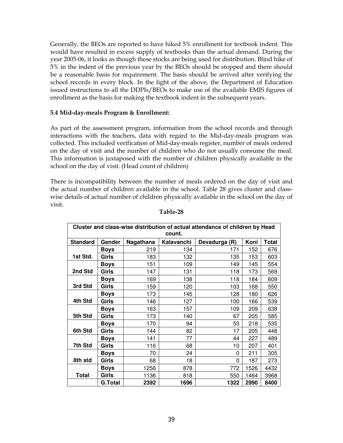Generally, the BEOs are reported to have hiked 5% enrollment for textbook indent. This would have resulted in excess supply of textbooks than the actual demand. During the year 2005-06, it looks as though these stocks are being used for distribution. Blind hike of 5% in the indent of the previous year by the BEOs should be stopped and there should be a reasonable basis for requirement. The basis should be arrived after verifying the school records in every block. In the light of the above, the Department of Education issued instructions to all the DDPIs/BEOs to make use of the available EMIS figures of enrollment as the basis for making the textbook indent in the subsequent years.

#### 5.4 Mid-day-meals Program & Enrollment:

As part of the assessment program, information from the school records and through interactions with the teachers, data with regard to the Mid-day-meals program was collected. This included verification of Mid-day-meals register, number of meals ordered on the day of visit and the number of children who do not usually consume the meal. This information is juxtaposed with the number of children physically available in the school on the day of visit. (Head count of children)

There is incompatibility between the number of meals ordered on the day of visit and the actual number of children available in the school. Table 28 gives cluster and classwise details of actual number of children physically available in the school on the day of visit.

| Cluster and class-wise distribution of actual attendance of children by Head |                |           |            |               |      |              |  |  |  |  |  |
|------------------------------------------------------------------------------|----------------|-----------|------------|---------------|------|--------------|--|--|--|--|--|
| count.                                                                       |                |           |            |               |      |              |  |  |  |  |  |
| <b>Standard</b>                                                              | Gender         | Nagathana | Kalavanchi | Devadurga (R) | Koni | <b>Total</b> |  |  |  |  |  |
|                                                                              | <b>Boys</b>    | 219       | 134        | 171           | 152  | 676          |  |  |  |  |  |
| 1st Std.                                                                     | Girls          | 183       | 132        | 135           | 153  | 603          |  |  |  |  |  |
|                                                                              | <b>Boys</b>    | 151       | 109        | 149           | 145  | 554          |  |  |  |  |  |
| 2nd Std                                                                      | Girls          | 147       | 131        | 118           | 173  | 569          |  |  |  |  |  |
|                                                                              | <b>Boys</b>    | 169       | 138        | 118           | 184  | 609          |  |  |  |  |  |
| 3rd Std                                                                      | Girls          | 159       | 120        | 103           | 168  | 550          |  |  |  |  |  |
|                                                                              | <b>Boys</b>    | 173       | 145        | 128           | 180  | 626          |  |  |  |  |  |
| 4th Std                                                                      | Girls          | 146       | 127        | 100           | 166  | 539          |  |  |  |  |  |
|                                                                              | Boys           | 163       | 157        | 109           | 209  | 638          |  |  |  |  |  |
| 5th Std                                                                      | Girls          | 173       | 140        | 67            | 205  | 585          |  |  |  |  |  |
|                                                                              | Boys           | 170       | 94         | 53            | 218  | 535          |  |  |  |  |  |
| 6th Std                                                                      | Girls          | 144       | 82         | 17            | 205  | 448          |  |  |  |  |  |
|                                                                              | <b>Boys</b>    | 141       | 77         | 44            | 227  | 489          |  |  |  |  |  |
| 7th Std                                                                      | Girls          | 116       | 68         | 10            | 207  | 401          |  |  |  |  |  |
|                                                                              | Boys           | 70        | 24         | 0             | 211  | 305          |  |  |  |  |  |
| 8th std                                                                      | Girls          | 68        | 18         | 0             | 187  | 273          |  |  |  |  |  |
|                                                                              | Boys           | 1256      | 878        | 772           | 1526 | 4432         |  |  |  |  |  |
| <b>Total</b>                                                                 | Girls          | 1136      | 818        | 550           | 1464 | 3968         |  |  |  |  |  |
|                                                                              | <b>G.Total</b> | 2392      | 1696       | 1322          | 2990 | 8400         |  |  |  |  |  |

#### Table-28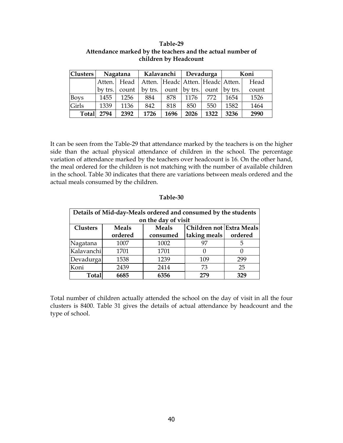| <b>Clusters</b> | Nagatana |       | Kalavanchi                       |      | Devadurga        |      | Koni    |       |
|-----------------|----------|-------|----------------------------------|------|------------------|------|---------|-------|
|                 | Atten.   | Head  | Atten. Headc Atten. Headc Atten. |      |                  |      |         | Head  |
|                 | by trs.  | count | by trs. $\vert$                  |      | ount $ $ by trs. | ount | by trs. | count |
| <b>Boys</b>     | 1455     | 1256  | 884                              | 878  | 1176             | 772  | 1654    | 1526  |
| Girls           | 1339     | 1136  | 842                              | 818  | 850              | 550  | 1582    | 1464  |
| <b>Total</b>    | 2794     | 2392  | 1726                             | 1696 | 2026             | 1322 | 3236    | 2990  |

#### Table-29 Attendance marked by the teachers and the actual number of children by Headcount

It can be seen from the Table-29 that attendance marked by the teachers is on the higher side than the actual physical attendance of children in the school. The percentage variation of attendance marked by the teachers over headcount is 16. On the other hand, the meal ordered for the children is not matching with the number of available children in the school. Table 30 indicates that there are variations between meals ordered and the actual meals consumed by the children.

| Details of Mid-day-Meals ordered and consumed by the students<br>on the day of visit |                                                          |          |                        |     |  |  |  |  |  |  |
|--------------------------------------------------------------------------------------|----------------------------------------------------------|----------|------------------------|-----|--|--|--|--|--|--|
| <b>Clusters</b>                                                                      | Children not Extra Meals<br><b>Meals</b><br><b>Meals</b> |          |                        |     |  |  |  |  |  |  |
|                                                                                      | ordered                                                  | consumed | taking meals   ordered |     |  |  |  |  |  |  |
| Nagatana                                                                             | 1007                                                     | 1002     | 97                     | 5   |  |  |  |  |  |  |
| Kalavanchi                                                                           | 1701                                                     | 1701     |                        |     |  |  |  |  |  |  |
| Devadurga                                                                            | 1538                                                     | 1239     | 109                    | 299 |  |  |  |  |  |  |
| Koni                                                                                 | 2439                                                     | 2414     | 73                     | 25  |  |  |  |  |  |  |
| <b>Total</b>                                                                         | 6685                                                     | 6356     | 279                    | 329 |  |  |  |  |  |  |

## Table-30

Total number of children actually attended the school on the day of visit in all the four clusters is 8400. Table 31 gives the details of actual attendance by headcount and the type of school.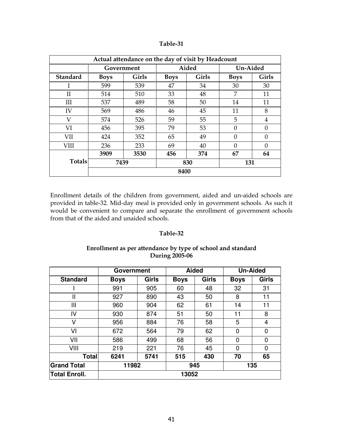| Actual attendance on the day of visit by Headcount |                      |      |             |              |             |          |  |  |
|----------------------------------------------------|----------------------|------|-------------|--------------|-------------|----------|--|--|
|                                                    | Government           |      |             | Aided        |             | Un-Aided |  |  |
| <b>Standard</b>                                    | Girls<br><b>Boys</b> |      | <b>Boys</b> | <b>Girls</b> | <b>Boys</b> | Girls    |  |  |
| I                                                  | 599                  | 539  | 47          | 34           | 30          | 30       |  |  |
| $\overline{\rm II}$                                | 514                  | 510  | 33          | 48           | 7           | 11       |  |  |
| Ш                                                  | 537                  | 489  | 58          | 50           | 14          | 11       |  |  |
| IV                                                 | 569                  | 486  | 46          | 45           | 11          | 8        |  |  |
| V                                                  | 574                  | 526  | 59          | 55           | 5           | 4        |  |  |
| VI                                                 | 456                  | 395  | 79          | 53           | $\theta$    | $\Omega$ |  |  |
| <b>VII</b>                                         | 424                  | 352  | 65          | 49           | 0           | $\Omega$ |  |  |
| <b>VIII</b>                                        | 236                  | 233  | 69          | 40           | $\Omega$    | $\Omega$ |  |  |
| <b>Totals</b>                                      | 3909                 | 3530 | 456         | 374          | 67          | 64       |  |  |
|                                                    | 7439                 |      | 830         |              | 131         |          |  |  |
|                                                    | 8400                 |      |             |              |             |          |  |  |

Enrollment details of the children from government, aided and un-aided schools are provided in table-32. Mid-day meal is provided only in government schools. As such it would be convenient to compare and separate the enrollment of government schools from that of the aided and unaided schools.

#### Table-32

## Enrollment as per attendance by type of school and standard During 2005-06

|                      | <b>Government</b> |       |             | <b>Aided</b> |             | <b>Un-Aided</b> |  |
|----------------------|-------------------|-------|-------------|--------------|-------------|-----------------|--|
| <b>Standard</b>      | <b>Boys</b>       | Girls | <b>Boys</b> | Girls        | <b>Boys</b> | Girls           |  |
|                      | 991               | 905   | 60          | 48           | 32          | 31              |  |
| Ш                    | 927               | 890   | 43          | 50           | 8           | 11              |  |
| Ш                    | 960               | 904   | 62          | 61           | 14          | 11              |  |
| IV                   | 930               | 874   | 51          | 50           | 11          | 8               |  |
| ٧                    | 956               | 884   | 76          | 58           | 5           | 4               |  |
| VI                   | 672               | 564   | 79          | 62           | 0           | $\mathbf 0$     |  |
| VII                  | 586               | 499   | 68          | 56           | 0           | $\mathbf 0$     |  |
| VIII                 | 219               | 221   | 76          | 45           | 0           | 0               |  |
| <b>Total</b>         | 6241              | 5741  | 515         | 430          | 70          | 65              |  |
| <b>Grand Total</b>   | 11982             |       | 945         |              | 135         |                 |  |
| <b>Total Enroll.</b> | 13052             |       |             |              |             |                 |  |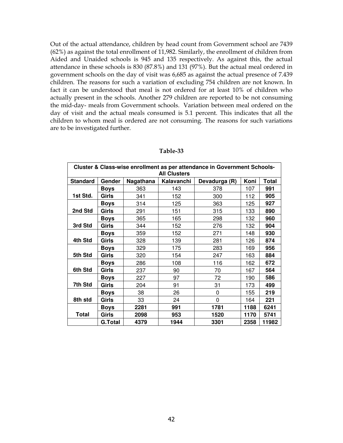Out of the actual attendance, children by head count from Government school are 7439 (62%) as against the total enrollment of 11,982. Similarly, the enrollment of children from Aided and Unaided schools is 945 and 135 respectively. As against this, the actual attendance in these schools is 830 (87.8%) and 131 (97%). But the actual meal ordered in government schools on the day of visit was 6,685 as against the actual presence of 7.439 children. The reasons for such a variation of excluding 754 children are not known. In fact it can be understood that meal is not ordered for at least 10% of children who actually present in the schools. Another 279 children are reported to be not consuming the mid-day- meals from Government schools. Variation between meal ordered on the day of visit and the actual meals consumed is 5.1 percent. This indicates that all the children to whom meal is ordered are not consuming. The reasons for such variations are to be investigated further.

| Cluster & Class-wise enrollment as per attendance in Government Schools- |                |           |            |               |      |              |  |  |  |  |
|--------------------------------------------------------------------------|----------------|-----------|------------|---------------|------|--------------|--|--|--|--|
| <b>All Clusters</b>                                                      |                |           |            |               |      |              |  |  |  |  |
| <b>Standard</b>                                                          | Gender         | Nagathana | Kalavanchi | Devadurga (R) | Koni | <b>Total</b> |  |  |  |  |
|                                                                          | <b>Boys</b>    | 363       | 143        | 378           | 107  | 991          |  |  |  |  |
| 1st Std.                                                                 | Girls          | 341       | 152        | 300           | 112  | 905          |  |  |  |  |
|                                                                          | <b>Boys</b>    | 314       | 125        | 363           | 125  | 927          |  |  |  |  |
| 2nd Std                                                                  | Girls          | 291       | 151        | 315           | 133  | 890          |  |  |  |  |
|                                                                          | <b>Boys</b>    | 365       | 165        | 298           | 132  | 960          |  |  |  |  |
| 3rd Std                                                                  | Girls          | 344       | 152        | 276           | 132  | 904          |  |  |  |  |
|                                                                          | <b>Boys</b>    | 359       | 152        | 271           | 148  | 930          |  |  |  |  |
| 4th Std                                                                  | Girls          | 328       | 139        | 281           | 126  | 874          |  |  |  |  |
|                                                                          | Boys           | 329       | 175        | 283           | 169  | 956          |  |  |  |  |
| 5th Std                                                                  | Girls          | 320       | 154        | 247           | 163  | 884          |  |  |  |  |
|                                                                          | <b>Boys</b>    | 286       | 108        | 116           | 162  | 672          |  |  |  |  |
| 6th Std                                                                  | <b>Girls</b>   | 237       | 90         | 70            | 167  | 564          |  |  |  |  |
|                                                                          | <b>Boys</b>    | 227       | 97         | 72            | 190  | 586          |  |  |  |  |
| 7th Std                                                                  | <b>Girls</b>   | 204       | 91         | 31            | 173  | 499          |  |  |  |  |
|                                                                          | <b>Boys</b>    | 38        | 26         | 0             | 155  | 219          |  |  |  |  |
| 8th std                                                                  | Girls          | 33        | 24         | 0             | 164  | 221          |  |  |  |  |
|                                                                          | <b>Boys</b>    | 2281      | 991        | 1781          | 1188 | 6241         |  |  |  |  |
| <b>Total</b>                                                             | Girls          | 2098      | 953        | 1520          | 1170 | 5741         |  |  |  |  |
|                                                                          | <b>G.Total</b> | 4379      | 1944       | 3301          | 2358 | 11982        |  |  |  |  |

#### Table-33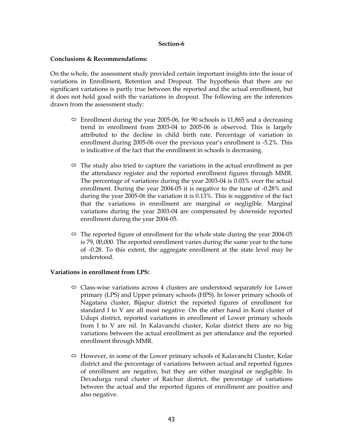#### Section-6

#### Conclusions & Recommendations:

On the whole, the assessment study provided certain important insights into the issue of variations in Enrollment, Retention and Dropout. The hypothesis that there are no significant variations is partly true between the reported and the actual enrollment, but it does not hold good with the variations in dropout. The following are the inferences drawn from the assessment study:

- $\Leftrightarrow$  Enrollment during the year 2005-06, for 90 schools is 11,865 and a decreasing trend in enrollment from 2003-04 to 2005-06 is observed. This is largely attributed to the decline in child birth rate. Percentage of variation in enrollment during 2005-06 over the previous year's enrollment is -5.2%. This is indicative of the fact that the enrollment in schools is decreasing.
- $\Leftrightarrow$  The study also tried to capture the variations in the actual enrollment as per the attendance register and the reported enrollment figures through MMR. The percentage of variations during the year 2003-04 is 0.03% over the actual enrollment. During the year 2004-05 it is negative to the tune of -0.28% and during the year 2005-06 the variation it is 0.13%. This is suggestive of the fact that the variations in enrollment are marginal or negligible. Marginal variations during the year 2003-04 are compensated by downside reported enrollment during the year 2004-05.
- $\Leftrightarrow$  The reported figure of enrollment for the whole state during the year 2004-05 is 79, 00,000. The reported enrollment varies during the same year to the tune of -0.28. To this extent, the aggregate enrollment at the state level may be understood.

## Variations in enrollment from LPS:

- $\Leftrightarrow$  Class-wise variations across 4 clusters are understood separately for Lower primary (LPS) and Upper primary schools (HPS). In lower primary schools of Nagatana cluster, Bijapur district the reported figures of enrollment for standard I to V are all most negative. On the other hand in Koni cluster of Udupi district, reported variations in enrollment of Lower primary schools from I to V are nil. In Kalavanchi cluster, Kolar district there are no big variations between the actual enrollment as per attendance and the reported enrollment through MMR.
- $\Leftrightarrow$  However, in some of the Lower primary schools of Kalavanchi Cluster, Kolar district and the percentage of variations between actual and reported figures of enrollment are negative, but they are either marginal or negligible. In Devadurga rural cluster of Raichur district, the percentage of variations between the actual and the reported figures of enrollment are positive and also negative.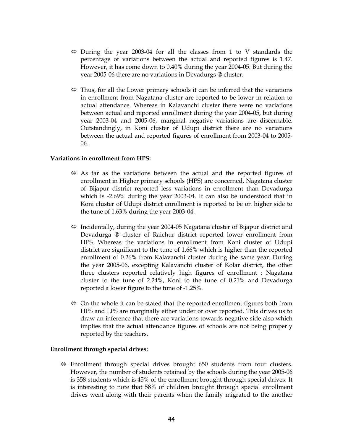- $\Leftrightarrow$  During the year 2003-04 for all the classes from 1 to V standards the percentage of variations between the actual and reported figures is 1.47. However, it has come down to 0.40% during the year 2004-05. But during the year 2005-06 there are no variations in Devadurgs ® cluster.
- $\Leftrightarrow$  Thus, for all the Lower primary schools it can be inferred that the variations in enrollment from Nagatana cluster are reported to be lower in relation to actual attendance. Whereas in Kalavanchi cluster there were no variations between actual and reported enrollment during the year 2004-05, but during year 2003-04 and 2005-06, marginal negative variations are discernable. Outstandingly, in Koni cluster of Udupi district there are no variations between the actual and reported figures of enrollment from 2003-04 to 2005- 06.

#### Variations in enrollment from HPS:

- $\Leftrightarrow$  As far as the variations between the actual and the reported figures of enrollment in Higher primary schools (HPS) are concerned, Nagatana cluster of Bijapur district reported less variations in enrollment than Devadurga which is -2.69% during the year 2003-04. It can also be understood that in Koni cluster of Udupi district enrollment is reported to be on higher side to the tune of 1.63% during the year 2003-04.
- $\Leftrightarrow$  Incidentally, during the year 2004-05 Nagatana cluster of Bijapur district and Devadurga ® cluster of Raichur district reported lower enrollment from HPS. Whereas the variations in enrollment from Koni cluster of Udupi district are significant to the tune of 1.66% which is higher than the reported enrollment of 0.26% from Kalavanchi cluster during the same year. During the year 2005-06, excepting Kalavanchi cluster of Kolar district, the other three clusters reported relatively high figures of enrollment : Nagatana cluster to the tune of 2.24%, Koni to the tune of 0.21% and Devadurga reported a lower figure to the tune of -1.25%.
- $\Leftrightarrow$  On the whole it can be stated that the reported enrollment figures both from HPS and LPS are marginally either under or over reported. This drives us to draw an inference that there are variations towards negative side also which implies that the actual attendance figures of schools are not being properly reported by the teachers.

## Enrollment through special drives:

 $\Leftrightarrow$  Enrollment through special drives brought 650 students from four clusters. However, the number of students retained by the schools during the year 2005-06 is 358 students which is 45% of the enrollment brought through special drives. It is interesting to note that 58% of children brought through special enrollment drives went along with their parents when the family migrated to the another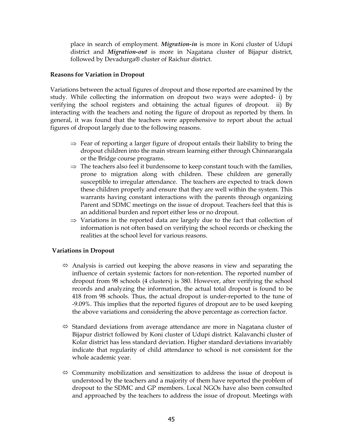place in search of employment. *Migration-in* is more in Koni cluster of Udupi district and *Migration-out* is more in Nagatana cluster of Bijapur district, followed by Devadurga® cluster of Raichur district.

#### Reasons for Variation in Dropout

Variations between the actual figures of dropout and those reported are examined by the study. While collecting the information on dropout two ways were adopted- i) by verifying the school registers and obtaining the actual figures of dropout. ii) By interacting with the teachers and noting the figure of dropout as reported by them. In general, it was found that the teachers were apprehensive to report about the actual figures of dropout largely due to the following reasons.

- $\Rightarrow$  Fear of reporting a larger figure of dropout entails their liability to bring the dropout children into the main stream learning either through Chinnarangala or the Bridge course programs.
- $\Rightarrow$  The teachers also feel it burdensome to keep constant touch with the families, prone to migration along with children. These children are generally susceptible to irregular attendance. The teachers are expected to track down these children properly and ensure that they are well within the system. This warrants having constant interactions with the parents through organizing Parent and SDMC meetings on the issue of dropout. Teachers feel that this is an additional burden and report either less or no dropout.
- $\Rightarrow$  Variations in the reported data are largely due to the fact that collection of information is not often based on verifying the school records or checking the realities at the school level for various reasons.

## Variations in Dropout

- $\Leftrightarrow$  Analysis is carried out keeping the above reasons in view and separating the influence of certain systemic factors for non-retention. The reported number of dropout from 98 schools (4 clusters) is 380. However, after verifying the school records and analyzing the information, the actual total dropout is found to be 418 from 98 schools. Thus, the actual dropout is under-reported to the tune of -9.09%. This implies that the reported figures of dropout are to be used keeping the above variations and considering the above percentage as correction factor.
- $\Leftrightarrow$  Standard deviations from average attendance are more in Nagatana cluster of Bijapur district followed by Koni cluster of Udupi district. Kalavanchi cluster of Kolar district has less standard deviation. Higher standard deviations invariably indicate that regularity of child attendance to school is not consistent for the whole academic year.
- $\Leftrightarrow$  Community mobilization and sensitization to address the issue of dropout is understood by the teachers and a majority of them have reported the problem of dropout to the SDMC and GP members. Local NGOs have also been consulted and approached by the teachers to address the issue of dropout. Meetings with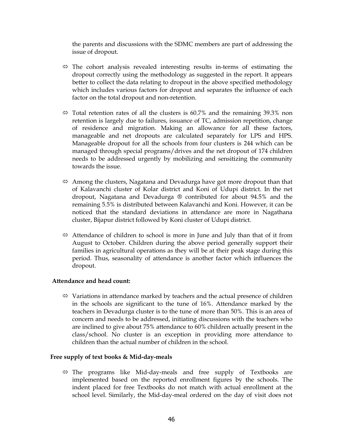the parents and discussions with the SDMC members are part of addressing the issue of dropout.

- $\Leftrightarrow$  The cohort analysis revealed interesting results in-terms of estimating the dropout correctly using the methodology as suggested in the report. It appears better to collect the data relating to dropout in the above specified methodology which includes various factors for dropout and separates the influence of each factor on the total dropout and non-retention.
- $\Leftrightarrow$  Total retention rates of all the clusters is 60.7% and the remaining 39.3% non retention is largely due to failures, issuance of TC, admission repetition, change of residence and migration. Making an allowance for all these factors, manageable and net dropouts are calculated separately for LPS and HPS. Manageable dropout for all the schools from four clusters is 244 which can be managed through special programs/drives and the net dropout of 174 children needs to be addressed urgently by mobilizing and sensitizing the community towards the issue.
- $\Leftrightarrow$  Among the clusters, Nagatana and Devadurga have got more dropout than that of Kalavanchi cluster of Kolar district and Koni of Udupi district. In the net dropout, Nagatana and Devadurga ® contributed for about 94.5% and the remaining 5.5% is distributed between Kalavanchi and Koni. However, it can be noticed that the standard deviations in attendance are more in Nagathana cluster, Bijapur district followed by Koni cluster of Udupi district.
- $\Leftrightarrow$  Attendance of children to school is more in June and July than that of it from August to October. Children during the above period generally support their families in agricultural operations as they will be at their peak stage during this period. Thus, seasonality of attendance is another factor which influences the dropout.

#### Attendance and head count:

 $\Leftrightarrow$  Variations in attendance marked by teachers and the actual presence of children in the schools are significant to the tune of 16%. Attendance marked by the teachers in Devadurga cluster is to the tune of more than 50%. This is an area of concern and needs to be addressed, initiating discussions with the teachers who are inclined to give about 75% attendance to 60% children actually present in the class/school. No cluster is an exception in providing more attendance to children than the actual number of children in the school.

#### Free supply of text books & Mid-day-meals

 $\Leftrightarrow$  The programs like Mid-day-meals and free supply of Textbooks are implemented based on the reported enrollment figures by the schools. The indent placed for free Textbooks do not match with actual enrollment at the school level. Similarly, the Mid-day-meal ordered on the day of visit does not